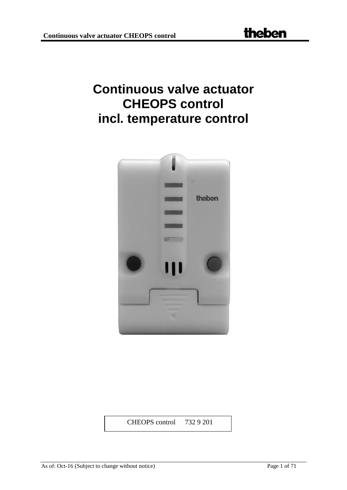# **Continuous valve actuator CHEOPS control incl. temperature control**



CHEOPS control 732 9 201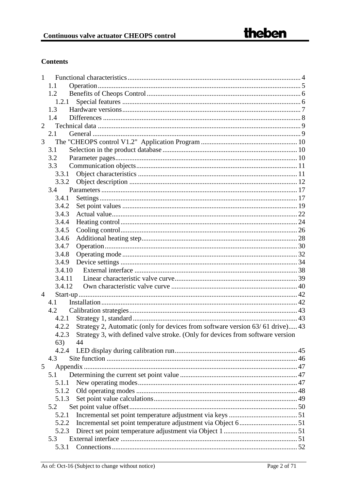## **Contents**

| 1              |                                                                                        |  |
|----------------|----------------------------------------------------------------------------------------|--|
|                | 1.1                                                                                    |  |
|                | 1.2                                                                                    |  |
|                | 1.2.1                                                                                  |  |
|                | 1.3                                                                                    |  |
|                | 1.4                                                                                    |  |
| $\overline{2}$ |                                                                                        |  |
|                | 2.1                                                                                    |  |
| 3              |                                                                                        |  |
|                | 3.1                                                                                    |  |
|                | 3.2                                                                                    |  |
|                | 3.3                                                                                    |  |
|                | 3.3.1                                                                                  |  |
|                | 3.3.2                                                                                  |  |
|                | 3.4                                                                                    |  |
|                | 3.4.1                                                                                  |  |
|                | 3.4.2                                                                                  |  |
|                | 3.4.3                                                                                  |  |
|                | 3.4.4                                                                                  |  |
|                | 3.4.5                                                                                  |  |
|                | 3.4.6                                                                                  |  |
|                | 3.4.7                                                                                  |  |
|                | 3.4.8                                                                                  |  |
|                | 3.4.9                                                                                  |  |
|                | 3.4.10                                                                                 |  |
|                | 3.4.11                                                                                 |  |
|                | 3.4.12                                                                                 |  |
| 4              |                                                                                        |  |
|                | 4.1                                                                                    |  |
|                | 4.2                                                                                    |  |
|                | 4.2.1                                                                                  |  |
|                | Strategy 2, Automatic (only for devices from software version 63/61 drive) 43<br>4.2.2 |  |
|                | 4.2.3 Strategy 3, with defined valve stroke. (Only for devices from software version   |  |
|                | 63)<br>44                                                                              |  |
|                | 4.2.4                                                                                  |  |
|                | 4.3                                                                                    |  |
| 5              |                                                                                        |  |
|                | 5.1                                                                                    |  |
|                | 5.1.1                                                                                  |  |
|                |                                                                                        |  |
|                | 5.1.3                                                                                  |  |
|                | 5.2                                                                                    |  |
|                | 5.2.1                                                                                  |  |
|                | 5.2.2                                                                                  |  |
|                | 5.2.3                                                                                  |  |
|                | 5.3                                                                                    |  |
|                | 5.3.1                                                                                  |  |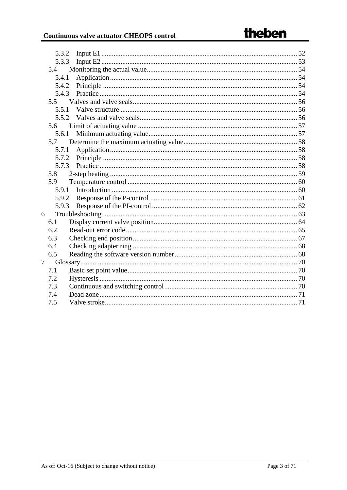| 5.3.2 |  |
|-------|--|
| 5.3.3 |  |
| 5.4   |  |
| 5.4.1 |  |
| 5.4.2 |  |
| 5.4.3 |  |
| 5.5   |  |
| 5.5.1 |  |
| 5.5.2 |  |
| 5.6   |  |
| 5.6.1 |  |
| 5.7   |  |
| 5.7.1 |  |
| 5.7.2 |  |
| 5.7.3 |  |
| 5.8   |  |
| 5.9   |  |
| 5.9.1 |  |
| 5.9.2 |  |
| 5.9.3 |  |
| 6     |  |
| 6.1   |  |
| 6.2   |  |
| 6.3   |  |
| 6.4   |  |
| 6.5   |  |
| 7     |  |
| 7.1   |  |
| 7.2   |  |
| 7.3   |  |
| 7.4   |  |
| 7.5   |  |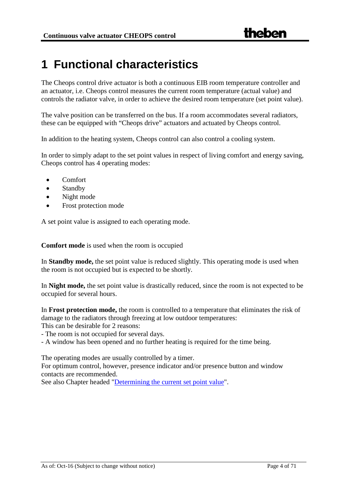## <span id="page-3-0"></span>**1 Functional characteristics**

The Cheops control drive actuator is both a continuous EIB room temperature controller and an actuator, i.e. Cheops control measures the current room temperature (actual value) and controls the radiator valve, in order to achieve the desired room temperature (set point value).

The valve position can be transferred on the bus. If a room accommodates several radiators, these can be equipped with "Cheops drive" actuators and actuated by Cheops control.

In addition to the heating system, Cheops control can also control a cooling system.

In order to simply adapt to the set point values in respect of living comfort and energy saving, Cheops control has 4 operating modes:

- Comfort
- Standby
- Night mode
- Frost protection mode

A set point value is assigned to each operating mode.

**Comfort mode** is used when the room is occupied

In **Standby mode,** the set point value is reduced slightly. This operating mode is used when the room is not occupied but is expected to be shortly.

In **Night mode,** the set point value is drastically reduced, since the room is not expected to be occupied for several hours.

In **Frost protection mode,** the room is controlled to a temperature that eliminates the risk of damage to the radiators through freezing at low outdoor temperatures: This can be desirable for 2 reasons:

- The room is not occupied for several days.

- A window has been opened and no further heating is required for the time being.

The operating modes are usually controlled by a timer.

For optimum control, however, presence indicator and/or presence button and window contacts are recommended.

See also Chapter headed ["Determining the current set point value"](#page-46-1).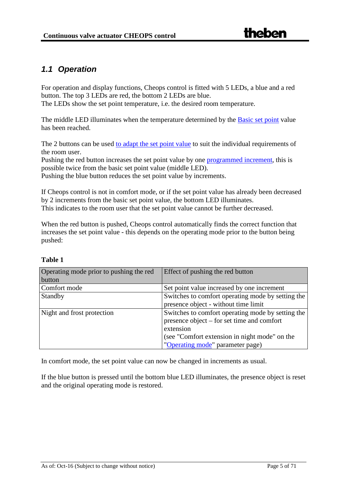## <span id="page-4-0"></span>*1.1 Operation*

For operation and display functions, Cheops control is fitted with 5 LEDs, a blue and a red button. The top 3 LEDs are red, the bottom 2 LEDs are blue. The LEDs show the set point temperature, i.e. the desired room temperature.

The middle LED illuminates when the temperature determined by the [Basic set point](#page-69-1) value has been reached.

The 2 buttons can be used [to adapt the set point value](#page-49-0) to suit the individual requirements of the room user.

Pushing the red button increases the set point value by one [programmed increment,](#page-30-0) this is possible twice from the basic set point value (middle LED).

Pushing the blue button reduces the set point value by increments.

If Cheops control is not in comfort mode, or if the set point value has already been decreased by 2 increments from the basic set point value, the bottom LED illuminates. This indicates to the room user that the set point value cannot be further decreased.

When the red button is pushed, Cheops control automatically finds the correct function that increases the set point value - this depends on the operating mode prior to the button being pushed:

| Operating mode prior to pushing the red<br>button | Effect of pushing the red button                                                                                                                                                                  |
|---------------------------------------------------|---------------------------------------------------------------------------------------------------------------------------------------------------------------------------------------------------|
| Comfort mode                                      | Set point value increased by one increment                                                                                                                                                        |
| Standby                                           | Switches to comfort operating mode by setting the<br>presence object - without time limit                                                                                                         |
| Night and frost protection                        | Switches to comfort operating mode by setting the<br>presence object – for set time and comfort<br>extension<br>(see "Comfort extension in night mode" on the<br>"Operating mode" parameter page) |

#### **Table 1**

In comfort mode, the set point value can now be changed in increments as usual.

If the blue button is pressed until the bottom blue LED illuminates, the presence object is reset and the original operating mode is restored.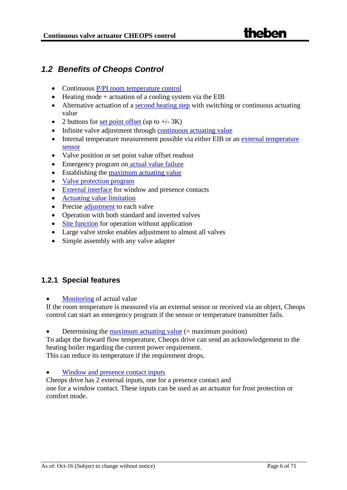## <span id="page-5-0"></span>*1.2 Benefits of Cheops Control*

- Continuous [P/PI room temperature control](#page-59-0)
- Heating mode  $+$  actuation of a cooling system via the EIB
- Alternative actuation of a [second heating step](#page-58-0) with switching or continuous actuating value
- 2 buttons for [set point offset](#page-49-0) (up to  $+/- 3K$ )
- Infinite valve adjustment through [continuous actuating value](#page-69-3)
- Internal temperature measurement possible via either EIB or an external temperature [sensor](#page-50-3)
- Valve position or set point value offset readout
- Emergency program on [actual value failure](#page-53-0)
- Establishing the [maximum actuating value](#page-57-0)
- Valve protection program
- [External interface](#page-50-3) for window and presence contacts
- [Actuating value limitation](#page-56-0)
- Precise adjustment to each valve
- Operation with both standard and inverted valves
- [Site function](#page-45-0) for operation without application
- Large valve stroke enables adjustment to almost all valves
- Simple assembly with any valve adapter

## <span id="page-5-1"></span>**1.2.1 Special features**

[Monitoring](#page-53-0) of actual value

If the room temperature is measured via an external sensor or received via an object, Cheops control can start an emergency program if the sensor or temperature transmitter fails.

• Determining the [maximum actuating value](#page-57-0)  $(=$  maximum position)

To adapt the forward flow temperature, Cheops drive can send an acknowledgement to the heating boiler regarding the current power requirement.

This can reduce its temperature if the requirement drops.

#### • [Window and presence contact inputs](#page-50-3)

Cheops drive has 2 external inputs, one for a presence contact and one for a window contact. These inputs can be used as an actuator for frost protection or comfort mode.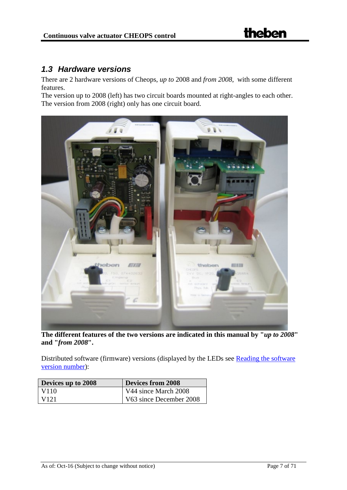## <span id="page-6-0"></span>*1.3 Hardware versions*

There are 2 hardware versions of Cheops, *up to* 2008 and *from 2008*, with some different features.

The version up to 2008 (left) has two circuit boards mounted at right-angles to each other. The version from 2008 (right) only has one circuit board.

![](_page_6_Picture_5.jpeg)

**The different features of the two versions are indicated in this manual by "***up to 2008***" and "***from 2008***".** 

Distributed software (firmware) versions (displayed by the LEDs see Reading the software version number):

| Devices up to 2008 | <b>Devices from 2008</b> |
|--------------------|--------------------------|
| V110               | V44 since March 2008     |
| V <sub>121</sub>   | V63 since December 2008  |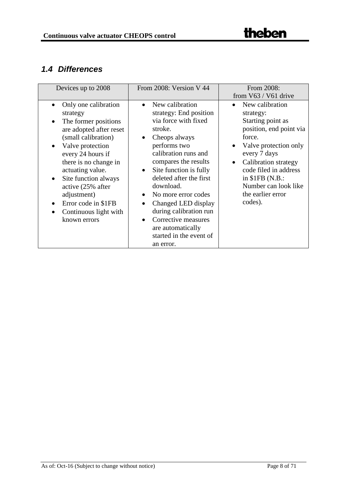## <span id="page-7-0"></span>*1.4 Differences*

| Devices up to 2008                                                                                                                                                                                                                                                                                                                                                                                         | From 2008: Version V 44                                                                                                                                                                                                                                                                                                                                                                                                                                      | From 2008:<br>from $V63 / V61$ drive                                                                                                                                                                                                                         |  |
|------------------------------------------------------------------------------------------------------------------------------------------------------------------------------------------------------------------------------------------------------------------------------------------------------------------------------------------------------------------------------------------------------------|--------------------------------------------------------------------------------------------------------------------------------------------------------------------------------------------------------------------------------------------------------------------------------------------------------------------------------------------------------------------------------------------------------------------------------------------------------------|--------------------------------------------------------------------------------------------------------------------------------------------------------------------------------------------------------------------------------------------------------------|--|
| Only one calibration<br>$\bullet$<br>strategy<br>The former positions<br>$\bullet$<br>are adopted after reset<br>(small calibration)<br>Valve protection<br>$\bullet$<br>every 24 hours if<br>there is no change in<br>actuating value.<br>Site function always<br>$\bullet$<br>active (25% after<br>adjustment)<br>Error code in \$1FB<br>$\bullet$<br>Continuous light with<br>$\bullet$<br>known errors | New calibration<br>$\bullet$<br>strategy: End position<br>via force with fixed<br>stroke.<br>Cheops always<br>$\bullet$<br>performs two<br>calibration runs and<br>compares the results<br>Site function is fully<br>$\bullet$<br>deleted after the first<br>download.<br>No more error codes<br>$\bullet$<br>Changed LED display<br>$\bullet$<br>during calibration run<br>Corrective measures<br>are automatically<br>started in the event of<br>an error. | New calibration<br>strategy:<br>Starting point as<br>position, end point via<br>force.<br>Valve protection only<br>every 7 days<br>Calibration strategy<br>code filed in address<br>in $$1FB (N.B.:$<br>Number can look like<br>the earlier error<br>codes). |  |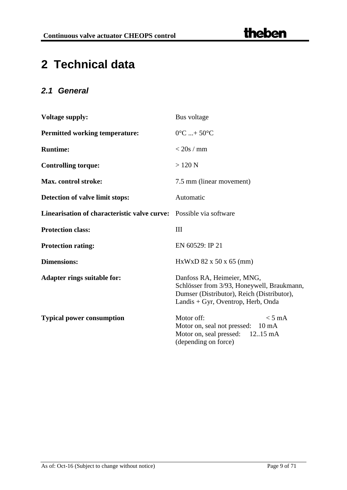# <span id="page-8-0"></span>**2 Technical data**

## <span id="page-8-1"></span>*2.1 General*

| <b>Voltage supply:</b>                                             | Bus voltage                                                                                                                                                  |  |  |
|--------------------------------------------------------------------|--------------------------------------------------------------------------------------------------------------------------------------------------------------|--|--|
| <b>Permitted working temperature:</b>                              | $0^{\circ}$ C  + 50 $^{\circ}$ C                                                                                                                             |  |  |
| <b>Runtime:</b>                                                    | $<$ 20s / mm                                                                                                                                                 |  |  |
| <b>Controlling torque:</b>                                         | $>120$ N                                                                                                                                                     |  |  |
| Max. control stroke:                                               | 7.5 mm (linear movement)                                                                                                                                     |  |  |
| Detection of valve limit stops:                                    | Automatic                                                                                                                                                    |  |  |
| Linearisation of characteristic valve curve: Possible via software |                                                                                                                                                              |  |  |
| <b>Protection class:</b>                                           | III                                                                                                                                                          |  |  |
| <b>Protection rating:</b>                                          | EN 60529: IP 21                                                                                                                                              |  |  |
| <b>Dimensions:</b>                                                 | HxWxD 82 x 50 x 65 (mm)                                                                                                                                      |  |  |
| <b>Adapter rings suitable for:</b>                                 | Danfoss RA, Heimeier, MNG,<br>Schlösser from 3/93, Honeywell, Braukmann,<br>Dumser (Distributor), Reich (Distributor),<br>Landis + Gyr, Oventrop, Herb, Onda |  |  |
| <b>Typical power consumption</b>                                   | Motor off:<br>$< 5 \text{ mA}$<br>Motor on, seal not pressed: 10 mA<br>Motor on, seal pressed: 1215 mA<br>(depending on force)                               |  |  |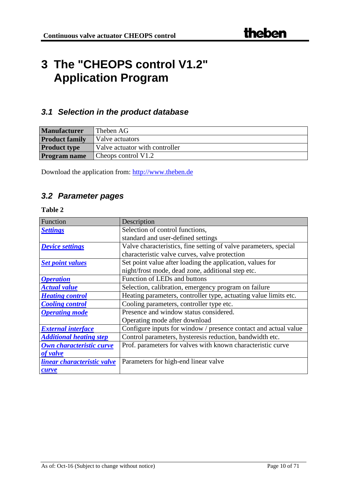## <span id="page-9-0"></span>**3 The "CHEOPS control V1.2" Application Program**

## <span id="page-9-1"></span>*3.1 Selection in the product database*

| <b>Manufacturer</b>   | Theben AG                      |
|-----------------------|--------------------------------|
| <b>Product family</b> | Valve actuators                |
| <b>Product type</b>   | Valve actuator with controller |
| <b>Program name</b>   | Cheops control V1.2            |

Download the application from: [http://www.theben.de](http://www.theben.de/)

## <span id="page-9-2"></span>*3.2 Parameter pages*

| Function                       | Description                                                      |
|--------------------------------|------------------------------------------------------------------|
| <b>Settings</b>                | Selection of control functions,                                  |
|                                | standard and user-defined settings                               |
| <b>Device settings</b>         | Valve characteristics, fine setting of valve parameters, special |
|                                | characteristic valve curves, valve protection                    |
| <b>Set point values</b>        | Set point value after loading the application, values for        |
|                                | night/frost mode, dead zone, additional step etc.                |
| <b>Operation</b>               | Function of LEDs and buttons                                     |
| <b>Actual value</b>            | Selection, calibration, emergency program on failure             |
| <b>Heating control</b>         | Heating parameters, controller type, actuating value limits etc. |
| <b>Cooling control</b>         | Cooling parameters, controller type etc.                         |
| <b>Operating mode</b>          | Presence and window status considered.                           |
|                                | Operating mode after download                                    |
| <b>External interface</b>      | Configure inputs for window / presence contact and actual value  |
| <b>Additional heating step</b> | Control parameters, hysteresis reduction, bandwidth etc.         |
| Own characteristic curve       | Prof. parameters for valves with known characteristic curve      |
| of valve                       |                                                                  |
| linear characteristic valve    | Parameters for high-end linear valve                             |
| curve                          |                                                                  |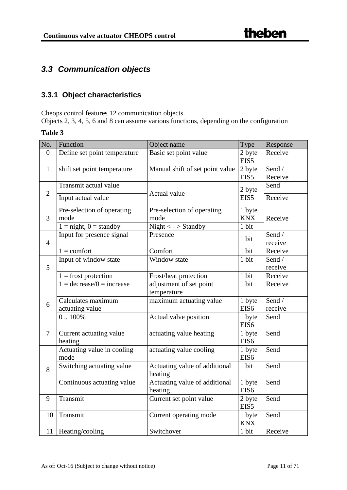## <span id="page-10-0"></span>*3.3 Communication objects*

## <span id="page-10-1"></span>**3.3.1 Object characteristics**

Cheops control features 12 communication objects.

Objects 2, 3, 4, 5, 6 and 8 can assume various functions, depending on the configuration

| No.            | Function                                  | Object name                              | Type             | Response |
|----------------|-------------------------------------------|------------------------------------------|------------------|----------|
| $\overline{0}$ | Define set point temperature              | Basic set point value                    | 2 byte<br>EIS5   | Receive  |
| $\mathbf{1}$   | shift set point temperature               | Manual shift of set point value          | 2 byte           | Send /   |
|                |                                           |                                          | EIS5             | Receive  |
|                | Transmit actual value                     |                                          | 2 byte           | Send     |
| $\overline{2}$ | Input actual value                        | Actual value                             | EIS5             | Receive  |
|                | Pre-selection of operating                | Pre-selection of operating               | 1 byte           |          |
| 3              | mode                                      | mode                                     | <b>KNX</b>       | Receive  |
|                | $1 =$ night, $0 =$ standby                | Night $\langle$ - $>$ Standby            | 1 bit            |          |
|                | Input for presence signal                 | Presence                                 | 1 bit            | Send /   |
| $\overline{4}$ |                                           |                                          |                  | receive  |
|                | $1 =$ comfort                             | Comfort                                  | 1 bit            | Receive  |
|                | Input of window state                     | Window state                             | 1 bit            | Send /   |
| 5              |                                           |                                          |                  | receive  |
|                | $1 =$ frost protection                    | Frost/heat protection                    | 1 bit            | Receive  |
|                | $1 = \text{decrease}/0 = \text{increase}$ | adjustment of set point<br>temperature   | 1 bit            | Receive  |
| 6              | Calculates maximum                        | maximum actuating value                  | 1 byte           | Send /   |
|                | actuating value                           |                                          | EIS <sub>6</sub> | receive  |
|                | $0.100\%$                                 | Actual valve position                    | 1 byte           | Send     |
|                |                                           |                                          | EIS <sub>6</sub> |          |
| $\overline{7}$ | Current actuating value                   | actuating value heating                  | 1 byte           | Send     |
|                | heating                                   |                                          | EIS <sub>6</sub> |          |
|                | Actuating value in cooling                | actuating value cooling                  | 1 byte           | Send     |
|                | mode                                      |                                          | EIS <sub>6</sub> |          |
| 8              | Switching actuating value                 | Actuating value of additional<br>heating | 1 bit            | Send     |
|                | Continuous actuating value                | Actuating value of additional            | 1 byte           | Send     |
|                |                                           | heating                                  | EIS <sub>6</sub> |          |
| 9              | Transmit                                  | Current set point value                  | 2 byte           | Send     |
|                |                                           |                                          | EIS5             |          |
| 10             | Transmit                                  | Current operating mode                   | 1 byte           | Send     |
|                |                                           |                                          | <b>KNX</b>       |          |
| 11             | Heating/cooling                           | Switchover                               | 1 bit            | Receive  |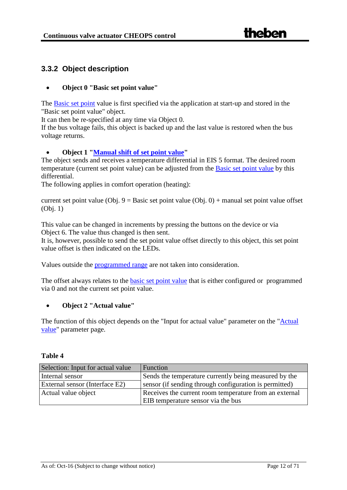### <span id="page-11-0"></span>**3.3.2 Object description**

#### <span id="page-11-3"></span>• **Object 0 "Basic set point value"**

The [Basic set point](#page-69-1) value is first specified via the application at start-up and stored in the "Basic set point value" object.

It can then be re-specified at any time via Object 0.

If the bus voltage fails, this object is backed up and the last value is restored when the bus voltage returns.

#### <span id="page-11-1"></span>• **Object 1 ["Manual shift of set point value"](#page-49-0)**

The object sends and receives a temperature differential in EIS 5 format. The desired room temperature (current set point value) can be adjusted from the [Basic set point value](#page-69-1) by this differential.

The following applies in comfort operation (heating):

current set point value (Obj.  $9 =$ Basic set point value (Obj. 0) + manual set point value offset (Obj. 1)

This value can be changed in increments by pressing the buttons on the device or via Object 6. The value thus changed is then sent.

It is, however, possible to send the set point value offset directly to this object, this set point value offset is then indicated on the LEDs.

Values outside the [programmed range](#page-30-0) are not taken into consideration.

The offset always relates to the **basic set point value** that is either configured or programmed via 0 and not the current set point value.

#### <span id="page-11-2"></span>• **Object 2 "Actual value"**

The function of this object depends on the "Input for actual value" parameter on the ["Actual](#page-21-0)  [value"](#page-21-0) parameter page.

| Selection: Input for actual value | Function                                               |
|-----------------------------------|--------------------------------------------------------|
| Internal sensor                   | Sends the temperature currently being measured by the  |
| External sensor (Interface E2)    | sensor (if sending through configuration is permitted) |
| Actual value object               | Receives the current room temperature from an external |
|                                   | EIB temperature sensor via the bus                     |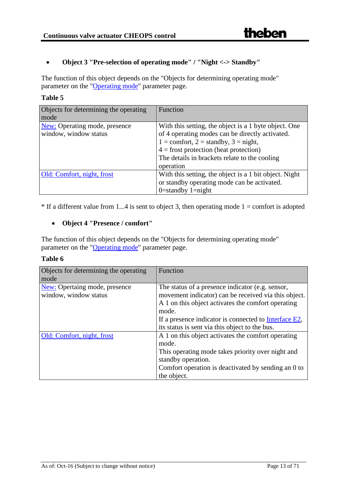## • **Object 3 "Pre-selection of operating mode" / "Night <-> Standby"**

The function of this object depends on the "Objects for determining operating mode" parameter on the ["Operating mode"](#page-31-0) parameter page.

#### **Table 5**

| Objects for determining the operating | Function                                               |
|---------------------------------------|--------------------------------------------------------|
| mode                                  |                                                        |
| <b>New:</b> Operating mode, presence  | With this setting, the object is a 1 byte object. One  |
| window, window status                 | of 4 operating modes can be directly activated.        |
|                                       | $1 =$ comfort, $2 =$ standby, $3 =$ night,             |
|                                       | $4 =$ frost protection (heat protection)               |
|                                       | The details in brackets relate to the cooling          |
|                                       | operation                                              |
| Old: Comfort, night, frost            | With this setting, the object is a 1 bit object. Night |
|                                       | or standby operating mode can be activated.            |
|                                       | $0$ =standby 1=night                                   |

 $*$  If a different value from 1...4 is sent to object 3, then operating mode 1 = comfort is adopted

#### <span id="page-12-0"></span>• **Object 4 "Presence / comfort"**

The function of this object depends on the "Objects for determining operating mode" parameter on the ["Operating mode"](#page-31-0) parameter page.

| Objects for determining the operating | Function                                                 |
|---------------------------------------|----------------------------------------------------------|
| mode                                  |                                                          |
| New: Opertaing mode, presence         | The status of a presence indicator (e.g. sensor,         |
| window, window status                 | movement indicator) can be received via this object.     |
|                                       | A 1 on this object activates the comfort operating       |
|                                       | mode.                                                    |
|                                       | If a presence indicator is connected to $Interface E2$ , |
|                                       | its status is sent via this object to the bus.           |
| Old: Comfort, night, frost            | A 1 on this object activates the comfort operating       |
|                                       | mode.                                                    |
|                                       | This operating mode takes priority over night and        |
|                                       | standby operation.                                       |
|                                       | Comfort operation is deactivated by sending an 0 to      |
|                                       | the object.                                              |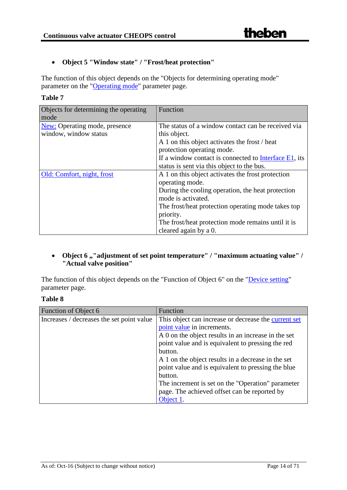#### • **Object 5 "Window state" / "Frost/heat protection"**

The function of this object depends on the "Objects for determining operating mode" parameter on the ["Operating mode"](#page-31-0) parameter page.

| anı<br>ıŧ |  |
|-----------|--|
|-----------|--|

| Objects for determining the operating | Function                                              |  |
|---------------------------------------|-------------------------------------------------------|--|
| mode                                  |                                                       |  |
| <b>New:</b> Operating mode, presence  | The status of a window contact can be received via    |  |
| window, window status                 | this object.                                          |  |
|                                       | A 1 on this object activates the frost / heat         |  |
|                                       | protection operating mode.                            |  |
|                                       | If a window contact is connected to Interface E1, its |  |
|                                       | status is sent via this object to the bus.            |  |
| Old: Comfort, night, frost            | A 1 on this object activates the frost protection     |  |
|                                       | operating mode.                                       |  |
|                                       | During the cooling operation, the heat protection     |  |
|                                       | mode is activated.                                    |  |
|                                       | The frost/heat protection operating mode takes top    |  |
|                                       | priority.                                             |  |
|                                       | The frost/heat protection mode remains until it is    |  |
|                                       | cleared again by a 0.                                 |  |

#### • Object 6,,"adjustment of set point temperature" / "maximum actuating value" / **"Actual valve position"**

The function of this object depends on the "Function of Object 6" on the "*Device setting*" parameter page.

| `able |  |
|-------|--|
|-------|--|

| Function of Object 6                      | Function                                             |
|-------------------------------------------|------------------------------------------------------|
| Increases / decreases the set point value | This object can increase or decrease the current set |
|                                           | point value in increments.                           |
|                                           | A 0 on the object results in an increase in the set  |
|                                           | point value and is equivalent to pressing the red    |
|                                           | button.                                              |
|                                           | A 1 on the object results in a decrease in the set   |
|                                           | point value and is equivalent to pressing the blue   |
|                                           | button.                                              |
|                                           | The increment is set on the "Operation" parameter    |
|                                           | page. The achieved offset can be reported by         |
|                                           | Object 1.                                            |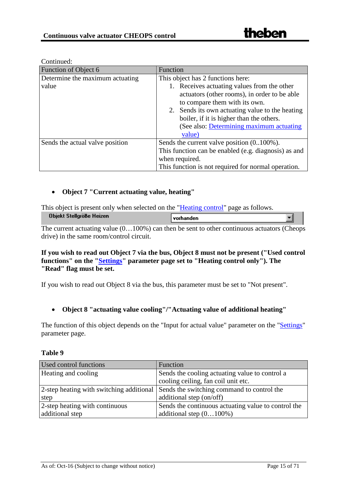| Function of Object 6            | Function                                                                                                                                                                                                                                                                           |
|---------------------------------|------------------------------------------------------------------------------------------------------------------------------------------------------------------------------------------------------------------------------------------------------------------------------------|
| Determine the maximum actuating | This object has 2 functions here:                                                                                                                                                                                                                                                  |
| value                           | 1. Receives actuating values from the other<br>actuators (other rooms), in order to be able<br>to compare them with its own.<br>2. Sends its own actuating value to the heating<br>boiler, if it is higher than the others.<br>(See also: Determining maximum actuating)<br>value) |
| Sends the actual valve position | Sends the current valve position (0100%).<br>This function can be enabled (e.g. diagnosis) as and<br>when required.<br>This function is not required for normal operation.                                                                                                         |

#### Continued:

#### <span id="page-14-0"></span>• **Object 7 "Current actuating value, heating"**

This object is present only when selected on the ["Heating control"](#page-23-0) page as follows.

| Objekt Stellgröße Heizen | vorhanden |  |
|--------------------------|-----------|--|
|                          |           |  |

The current actuating value  $(0...100\%)$  can then be sent to other continuous actuators (Cheops drive) in the same room/control circuit.

#### **If you wish to read out Object 7 via the bus, Object 8 must not be present ("Used control functions" on the ["Settings"](#page-16-1) parameter page set to "Heating control only"). The "Read" flag must be set.**

If you wish to read out Object 8 via the bus, this parameter must be set to "Not present".

#### • **Object 8 "actuating value cooling"/"Actuating value of additional heating"**

The function of this object depends on the "Input for actual value" parameter on the ["Settings"](#page-16-1) parameter page.

| <b>Used control functions</b>            | Function                                            |
|------------------------------------------|-----------------------------------------------------|
| Heating and cooling                      | Sends the cooling actuating value to control a      |
|                                          | cooling ceiling, fan coil unit etc.                 |
| 2-step heating with switching additional | Sends the switching command to control the          |
| step                                     | additional step (on/off)                            |
| 2-step heating with continuous           | Sends the continuous actuating value to control the |
| additional step                          | additional step $(0100\%)$                          |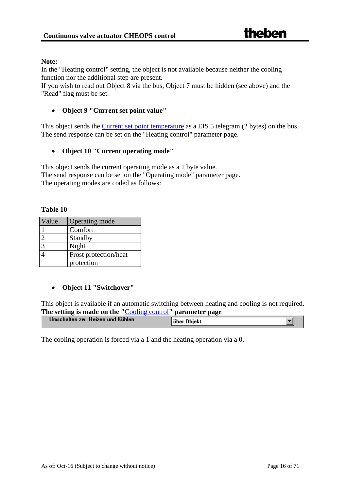#### **Note:**

In the "Heating control" setting, the object is not available because neither the cooling function nor the additional step are present.

If you wish to read out Object 8 via the bus, Object 7 must be hidden (see above) and the "Read" flag must be set.

#### • **Object 9 "Current set point value"**

This object sends the [Current set point temperature](#page-48-0) as a EIS 5 telegram (2 bytes) on the bus. The send response can be set on the "Heating control" parameter page.

#### • **Object 10 "Current operating mode"**

This object sends the current operating mode as a 1 byte value. The send response can be set on the "Operating mode" parameter page. The operating modes are coded as follows:

#### **Table 10**

| Value          | Operating mode        |
|----------------|-----------------------|
|                | Comfort               |
| $\mathcal{D}$  | Standby               |
| $\overline{3}$ | Night                 |
|                | Frost protection/heat |
|                | protection            |

#### <span id="page-15-0"></span>• **Object 11 "Switchover"**

This object is available if an automatic switching between heating and cooling is not required. **The setting is made on the "**[Cooling control](#page-25-0)**" parameter page**

|                                   | --          |
|-----------------------------------|-------------|
| Umschalten zw. Heizen und Kühlen- | über Objekt |

The cooling operation is forced via a 1 and the heating operation via a 0.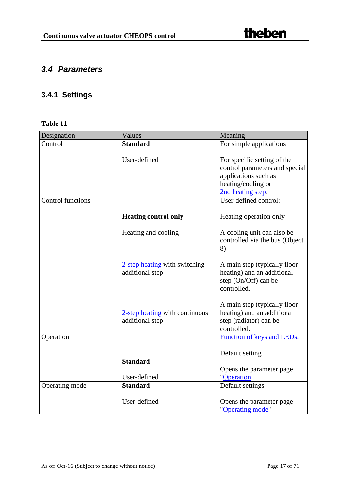## <span id="page-16-0"></span>*3.4 Parameters*

## <span id="page-16-1"></span>**3.4.1 Settings**

| Designation       | Values                                            | Meaning                                                                                                                          |
|-------------------|---------------------------------------------------|----------------------------------------------------------------------------------------------------------------------------------|
| Control           | <b>Standard</b>                                   | For simple applications                                                                                                          |
|                   | User-defined                                      | For specific setting of the<br>control parameters and special<br>applications such as<br>heating/cooling or<br>2nd heating step. |
| Control functions |                                                   | User-defined control:                                                                                                            |
|                   | <b>Heating control only</b>                       | Heating operation only                                                                                                           |
|                   | Heating and cooling                               | A cooling unit can also be<br>controlled via the bus (Object<br>8)                                                               |
|                   | 2-step heating with switching<br>additional step  | A main step (typically floor<br>heating) and an additional<br>step (On/Off) can be<br>controlled.                                |
|                   | 2-step heating with continuous<br>additional step | A main step (typically floor<br>heating) and an additional<br>step (radiator) can be<br>controlled.                              |
| Operation         |                                                   | Function of keys and LEDs.                                                                                                       |
|                   | <b>Standard</b><br>User-defined                   | Default setting<br>Opens the parameter page<br>"Operation"                                                                       |
| Operating mode    | <b>Standard</b>                                   | Default settings                                                                                                                 |
|                   |                                                   |                                                                                                                                  |
|                   | User-defined                                      | Opens the parameter page<br>"Operating mode"                                                                                     |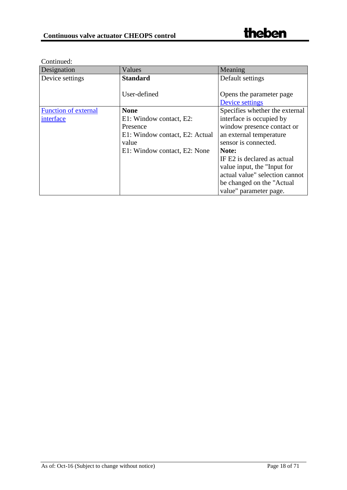<span id="page-17-0"></span>

| Designation          | Values                         | Meaning                        |
|----------------------|--------------------------------|--------------------------------|
| Device settings      | <b>Standard</b>                | Default settings               |
|                      |                                |                                |
|                      | User-defined                   | Opens the parameter page       |
|                      |                                | Device settings                |
| Function of external | <b>None</b>                    | Specifies whether the external |
| interface            | E1: Window contact, E2:        | interface is occupied by       |
|                      | Presence                       | window presence contact or     |
|                      | E1: Window contact, E2: Actual | an external temperature        |
|                      | value                          | sensor is connected.           |
|                      | E1: Window contact, E2: None   | Note:                          |
|                      |                                | IF E2 is declared as actual    |
|                      |                                | value input, the "Input for    |
|                      |                                | actual value" selection cannot |
|                      |                                | be changed on the "Actual"     |
|                      |                                | value" parameter page.         |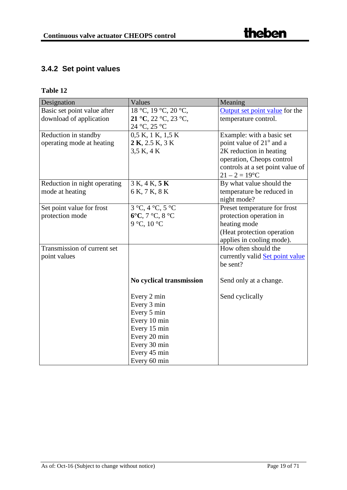## <span id="page-18-0"></span>**3.4.2 Set point values**

| Designation                  | Values                               | Meaning                              |
|------------------------------|--------------------------------------|--------------------------------------|
| Basic set point value after  | 18 °C, 19 °C, 20 °C,                 | Output set point value for the       |
| download of application      | 21 °C, 22 °C, 23 °C,                 | temperature control.                 |
|                              | 24 °C, 25 °C                         |                                      |
| Reduction in standby         | 0,5 K, 1 K, 1,5 K                    | Example: with a basic set            |
| operating mode at heating    | $2 K$ , $2.5 K$ , $3 K$              | point value of 21 <sup>°</sup> and a |
|                              | 3,5 K, 4 K                           | 2K reduction in heating              |
|                              |                                      | operation, Cheops control            |
|                              |                                      | controls at a set point value of     |
|                              |                                      | $21 - 2 = 19$ °C                     |
| Reduction in night operating | 3 K, 4 K, 5 K                        | By what value should the             |
| mode at heating              | 6 K, 7 K, 8 K                        | temperature be reduced in            |
|                              |                                      | night mode?                          |
| Set point value for frost    | $3^{\circ}C, 4^{\circ}C, 5^{\circ}C$ | Preset temperature for frost         |
| protection mode              | 6°C, 7 °C, 8 °C                      | protection operation in              |
|                              | 9 °C, 10 °C                          | heating mode                         |
|                              |                                      | (Heat protection operation           |
|                              |                                      | applies in cooling mode).            |
| Transmission of current set  |                                      | How often should the                 |
| point values                 |                                      | currently valid Set point value      |
|                              |                                      | be sent?                             |
|                              |                                      |                                      |
|                              | No cyclical transmission             | Send only at a change.               |
|                              |                                      |                                      |
|                              | Every 2 min                          | Send cyclically                      |
|                              | Every 3 min                          |                                      |
|                              | Every 5 min                          |                                      |
|                              | Every 10 min                         |                                      |
|                              | Every 15 min                         |                                      |
|                              | Every 20 min                         |                                      |
|                              | Every 30 min                         |                                      |
|                              | Every 45 min                         |                                      |
|                              | Every 60 min                         |                                      |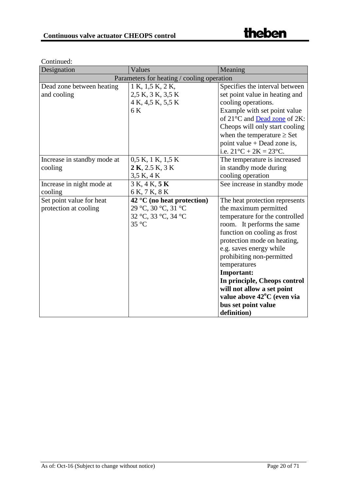| Designation                 | Values                                     | Meaning                                 |
|-----------------------------|--------------------------------------------|-----------------------------------------|
|                             | Parameters for heating / cooling operation |                                         |
| Dead zone between heating   | 1 K, 1,5 K, 2 K,                           | Specifies the interval between          |
| and cooling                 | 2,5 K, 3 K, 3,5 K                          | set point value in heating and          |
|                             | 4 K, 4,5 K, 5,5 K                          | cooling operations.                     |
|                             | 6 K                                        | Example with set point value            |
|                             |                                            | of 21°C and Dead zone of 2K:            |
|                             |                                            | Cheops will only start cooling          |
|                             |                                            | when the temperature $\geq$ Set         |
|                             |                                            | point value $+$ Dead zone is,           |
|                             |                                            | i.e. $21^{\circ}C + 2K = 23^{\circ}C$ . |
| Increase in standby mode at | $0.5 K$ , 1 K, 1,5 K                       | The temperature is increased            |
| cooling                     | $2 K$ , 2.5 K, 3 K                         | in standby mode during                  |
|                             | 3,5 K, 4 K                                 | cooling operation                       |
| Increase in night mode at   | 3 K, 4 K, 5 K                              | See increase in standby mode            |
| cooling                     | 6 K, 7 K, 8 K                              |                                         |
| Set point value for heat    | $42^{\circ}$ C (no heat protection)        | The heat protection represents          |
| protection at cooling       | 29 °C, 30 °C, 31 °C                        | the maximum permitted                   |
|                             | 32 °C, 33 °C, 34 °C                        | temperature for the controlled          |
|                             | $35^{\circ}$ C                             | room. It performs the same              |
|                             |                                            | function on cooling as frost            |
|                             |                                            | protection mode on heating,             |
|                             |                                            | e.g. saves energy while                 |
|                             |                                            | prohibiting non-permitted               |
|                             |                                            | temperatures                            |
|                             |                                            | Important:                              |
|                             |                                            | In principle, Cheops control            |
|                             |                                            | will not allow a set point              |
|                             |                                            | value above 42 <sup>o</sup> C (even via |
|                             |                                            | bus set point value                     |
|                             |                                            | definition)                             |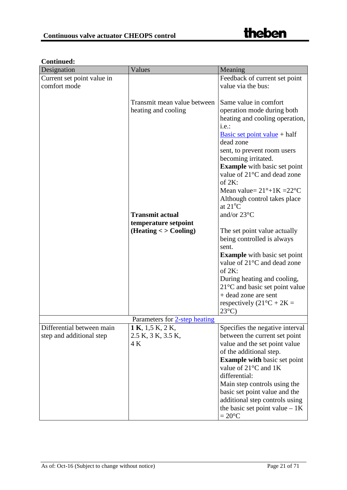| Designation                | Values                        | Meaning                                  |
|----------------------------|-------------------------------|------------------------------------------|
| Current set point value in |                               | Feedback of current set point            |
| comfort mode               |                               | value via the bus:                       |
|                            |                               |                                          |
|                            | Transmit mean value between   | Same value in comfort                    |
|                            | heating and cooling           | operation mode during both               |
|                            |                               | heating and cooling operation,           |
|                            |                               | i.e.:                                    |
|                            |                               | Basic set point value $+$ half           |
|                            |                               | dead zone                                |
|                            |                               | sent, to prevent room users              |
|                            |                               | becoming irritated.                      |
|                            |                               | <b>Example</b> with basic set point      |
|                            |                               | value of 21°C and dead zone              |
|                            |                               | of $2K$ :                                |
|                            |                               | Mean value= $21^\circ + 1K = 22^\circ C$ |
|                            |                               | Although control takes place             |
|                            |                               | at $21^{\circ}$ C                        |
|                            | <b>Transmit actual</b>        | and/or $23^{\circ}$ C                    |
|                            | temperature setpoint          |                                          |
|                            | (Heating < > Cooling)         | The set point value actually             |
|                            |                               | being controlled is always               |
|                            |                               | sent.                                    |
|                            |                               | <b>Example</b> with basic set point      |
|                            |                               | value of 21 <sup>o</sup> C and dead zone |
|                            |                               | of $2K$ :                                |
|                            |                               | During heating and cooling,              |
|                            |                               | 21°C and basic set point value           |
|                            |                               | + dead zone are sent                     |
|                            |                               | respectively $(21^{\circ}C + 2K =$       |
|                            |                               | $23^{\circ}$ C)                          |
|                            | Parameters for 2-step heating |                                          |
| Differential between main  | 1 K, 1,5 K, 2 K,              | Specifies the negative interval          |
| step and additional step   | 2.5 K, 3 K, 3.5 K,            | between the current set point            |
|                            | 4 K                           | value and the set point value            |
|                            |                               | of the additional step.                  |
|                            |                               | <b>Example with basic set point</b>      |
|                            |                               | value of $21^{\circ}$ C and 1K           |
|                            |                               | differential:                            |
|                            |                               | Main step controls using the             |
|                            |                               | basic set point value and the            |
|                            |                               | additional step controls using           |
|                            |                               | the basic set point value $-1K$          |
|                            |                               | $=20^{\circ}C$                           |

#### **Continued:**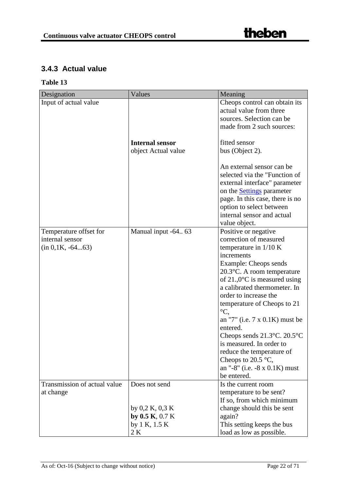## <span id="page-21-0"></span>**3.4.3 Actual value**

| Designation                  | Values                 | Meaning                                            |
|------------------------------|------------------------|----------------------------------------------------|
| Input of actual value        |                        | Cheops control can obtain its                      |
|                              |                        | actual value from three                            |
|                              |                        | sources. Selection can be                          |
|                              |                        | made from 2 such sources:                          |
|                              |                        |                                                    |
|                              | <b>Internal sensor</b> | fitted sensor                                      |
|                              | object Actual value    | bus (Object 2).                                    |
|                              |                        |                                                    |
|                              |                        | An external sensor can be                          |
|                              |                        | selected via the "Function of                      |
|                              |                        | external interface" parameter                      |
|                              |                        | on the <b>Settings</b> parameter                   |
|                              |                        | page. In this case, there is no                    |
|                              |                        | option to select between                           |
|                              |                        | internal sensor and actual                         |
|                              |                        | value object.                                      |
| Temperature offset for       | Manual input -64 63    | Positive or negative                               |
| internal sensor              |                        | correction of measured                             |
| $(in 0, 1K, -6463)$          |                        | temperature in $1/10$ K                            |
|                              |                        | increments                                         |
|                              |                        | Example: Cheops sends                              |
|                              |                        | 20.3°C. A room temperature                         |
|                              |                        | of 21.,0 $^{\circ}$ C is measured using            |
|                              |                        | a calibrated thermometer. In                       |
|                              |                        | order to increase the                              |
|                              |                        | temperature of Cheops to 21<br>$\rm{^{\circ}C}$    |
|                              |                        |                                                    |
|                              |                        | an "7" (i.e. $7 \times 0.1K$ ) must be<br>entered. |
|                              |                        | Cheops sends $21.3^{\circ}$ C. $20.5^{\circ}$ C    |
|                              |                        | is measured. In order to                           |
|                              |                        | reduce the temperature of                          |
|                              |                        | Cheops to $20.5$ °C,                               |
|                              |                        | an "-8" (i.e. $-8 \times 0.1$ K) must              |
|                              |                        | be entered.                                        |
| Transmission of actual value | Does not send          | Is the current room                                |
| at change                    |                        | temperature to be sent?                            |
|                              |                        | If so, from which minimum                          |
|                              | by $0.2$ K, $0.3$ K    | change should this be sent                         |
|                              | by $0.5 K$ , $0.7 K$   | again?                                             |
|                              | by 1 K, $1.5 K$        | This setting keeps the bus                         |
|                              | 2 K                    | load as low as possible.                           |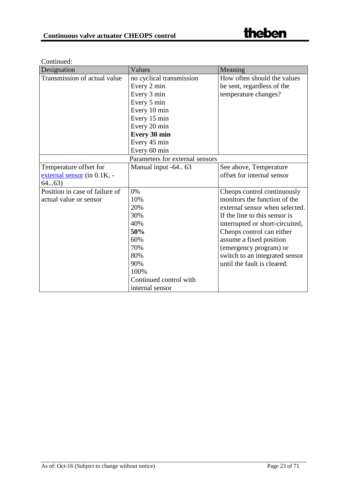Continued:

| Designation                        | Values                          | Meaning                         |
|------------------------------------|---------------------------------|---------------------------------|
| Transmission of actual value       | no cyclical transmission        | How often should the values     |
|                                    | Every 2 min                     | be sent, regardless of the      |
|                                    | Every 3 min                     | temperature changes?            |
|                                    | Every 5 min                     |                                 |
|                                    | Every 10 min                    |                                 |
|                                    | Every 15 min                    |                                 |
|                                    | Every 20 min                    |                                 |
|                                    | <b>Every 30 min</b>             |                                 |
|                                    | Every 45 min                    |                                 |
|                                    | Every 60 min                    |                                 |
|                                    | Parameters for external sensors |                                 |
| Temperature offset for             | Manual input -64 63             | See above, Temperature          |
| <u>external sensor</u> (in 0.1K, - |                                 | offset for internal sensor      |
| 6463)                              |                                 |                                 |
| Position in case of failure of     | 0%                              | Cheops control continuously     |
| actual value or sensor             | 10%                             | monitors the function of the    |
|                                    | 20%                             | external sensor when selected.  |
|                                    | 30%                             | If the line to this sensor is   |
|                                    | 40%                             | interrupted or short-circuited, |
|                                    | 50%                             | Cheops control can either       |
|                                    | 60%                             | assume a fixed position         |
|                                    | 70%                             | (emergency program) or          |
|                                    | 80%                             | switch to an integrated sensor  |
|                                    | 90%                             | until the fault is cleared.     |
|                                    | 100%                            |                                 |
|                                    | Continued control with          |                                 |
|                                    | internal sensor                 |                                 |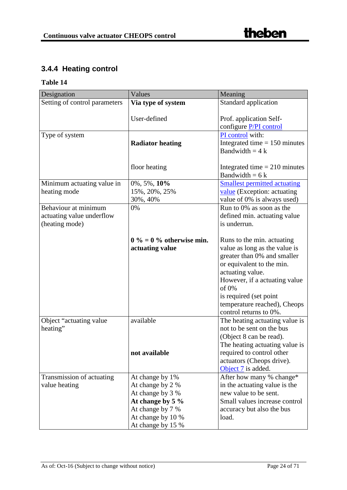## <span id="page-23-0"></span>**3.4.4 Heating control**

| Designation                   | Values                     | Meaning                             |
|-------------------------------|----------------------------|-------------------------------------|
| Setting of control parameters | Via type of system         | Standard application                |
|                               |                            |                                     |
|                               | User-defined               | Prof. application Self-             |
|                               |                            | configure P/PI control              |
| Type of system                |                            | PI control with:                    |
|                               | <b>Radiator heating</b>    | Integrated time $= 150$ minutes     |
|                               |                            | Bandwidth = $4k$                    |
|                               |                            |                                     |
|                               | floor heating              | Integrated time $= 210$ minutes     |
|                               |                            | Bandwidth = $6k$                    |
| Minimum actuating value in    | $0\%, 5\%, 10\%$           | <b>Smallest permitted actuating</b> |
| heating mode                  | 15%, 20%, 25%              | value (Exception: actuating         |
|                               | 30%, 40%                   | value of 0% is always used)         |
| Behaviour at minimum          | 0%                         | Run to 0% as soon as the            |
| actuating value underflow     |                            | defined min. actuating value        |
| (heating mode)                |                            | is underrun.                        |
|                               |                            |                                     |
|                               | $0\% = 0\%$ otherwise min. | Runs to the min. actuating          |
|                               | actuating value            | value as long as the value is       |
|                               |                            | greater than 0% and smaller         |
|                               |                            | or equivalent to the min.           |
|                               |                            | actuating value.                    |
|                               |                            | However, if a actuating value       |
|                               |                            | of 0%                               |
|                               |                            | is required (set point              |
|                               |                            | temperature reached), Cheops        |
|                               |                            | control returns to 0%.              |
| Object "actuating value       | available                  | The heating actuating value is      |
| heating"                      |                            | not to be sent on the bus           |
|                               |                            | (Object 8 can be read).             |
|                               |                            | The heating actuating value is      |
|                               | not available              | required to control other           |
|                               |                            | actuators (Cheops drive).           |
|                               |                            | Object 7 is added.                  |
| Transmission of actuating     | At change by 1%            | After how many % change*            |
| value heating                 | At change by 2 %           | in the actuating value is the       |
|                               | At change by 3 %           | new value to be sent.               |
|                               | At change by $5\%$         | Small values increase control       |
|                               | At change by 7 %           | accuracy but also the bus           |
|                               | At change by 10 %          | load.                               |
|                               | At change by 15 %          |                                     |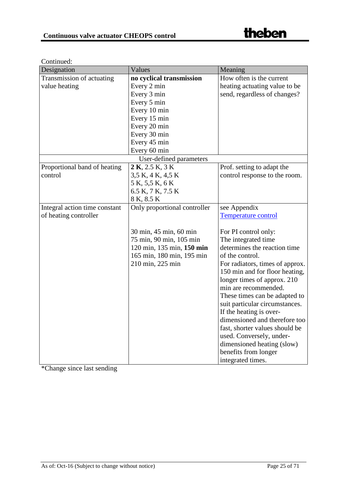| Designation                   | Values                       | Meaning                         |
|-------------------------------|------------------------------|---------------------------------|
| Transmission of actuating     | no cyclical transmission     | How often is the current        |
| value heating                 | Every 2 min                  | heating actuating value to be   |
|                               | Every 3 min                  | send, regardless of changes?    |
|                               | Every 5 min                  |                                 |
|                               | Every 10 min                 |                                 |
|                               | Every 15 min                 |                                 |
|                               | Every 20 min                 |                                 |
|                               | Every 30 min                 |                                 |
|                               | Every 45 min                 |                                 |
|                               | Every 60 min                 |                                 |
|                               | User-defined parameters      |                                 |
| Proportional band of heating  | $2 K$ , $2.5 K$ , $3 K$      | Prof. setting to adapt the      |
| control                       | 3,5 K, 4 K, 4,5 K            | control response to the room.   |
|                               | 5 K, 5,5 K, 6 K              |                                 |
|                               | 6.5 K, 7 K, 7.5 K            |                                 |
|                               | 8 K, 8.5 K                   |                                 |
| Integral action time constant | Only proportional controller | see Appendix                    |
| of heating controller         |                              | <b>Temperature control</b>      |
|                               |                              |                                 |
|                               | 30 min, 45 min, 60 min       | For PI control only:            |
|                               | 75 min, 90 min, 105 min      | The integrated time             |
|                               | 120 min, 135 min, 150 min    | determines the reaction time    |
|                               | 165 min, 180 min, 195 min    | of the control.                 |
|                               | 210 min, 225 min             | For radiators, times of approx. |
|                               |                              | 150 min and for floor heating,  |
|                               |                              | longer times of approx. 210     |
|                               |                              | min are recommended.            |
|                               |                              | These times can be adapted to   |
|                               |                              | suit particular circumstances.  |
|                               |                              | If the heating is over-         |
|                               |                              | dimensioned and therefore too   |
|                               |                              | fast, shorter values should be  |
|                               |                              | used. Conversely, under-        |
|                               |                              | dimensioned heating (slow)      |
|                               |                              | benefits from longer            |
|                               |                              | integrated times.               |

\*Change since last sending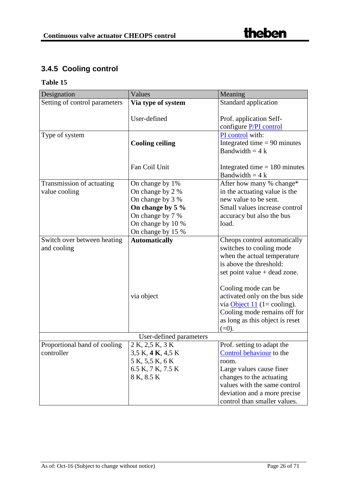## <span id="page-25-0"></span>**3.4.5 Cooling control**

| Designation                   | Values                 | Meaning                         |
|-------------------------------|------------------------|---------------------------------|
| Setting of control parameters | Via type of system     | Standard application            |
|                               |                        |                                 |
|                               | User-defined           | Prof. application Self-         |
|                               |                        | configure P/PI control          |
| Type of system                |                        | PI control with:                |
|                               | <b>Cooling ceiling</b> | Integrated time $= 90$ minutes  |
|                               |                        | Bandwidth = $4k$                |
|                               |                        |                                 |
|                               | Fan Coil Unit          | Integrated time $= 180$ minutes |
|                               |                        | Bandwidth = $4k$                |
| Transmission of actuating     | On change by 1%        | After how many % change*        |
| value cooling                 | On change by 2 %       | in the actuating value is the   |
|                               | On change by 3 %       | new value to be sent.           |
|                               | On change by 5 %       | Small values increase control   |
|                               | On change by 7 %       | accuracy but also the bus       |
|                               | On change by 10 %      | load.                           |
|                               | On change by 15 %      |                                 |
| Switch over between heating   | <b>Automatically</b>   | Cheops control automatically    |
| and cooling                   |                        | switches to cooling mode        |
|                               |                        | when the actual temperature     |
|                               |                        | is above the threshold:         |
|                               |                        | set point value + dead zone.    |
|                               |                        |                                 |
|                               |                        | Cooling mode can be             |
|                               | via object             | activated only on the bus side  |
|                               |                        | via $Object 11 (1 = cooling).$  |
|                               |                        | Cooling mode remains off for    |
|                               |                        | as long as this object is reset |
|                               |                        | $(=0).$                         |
| User-defined parameters       |                        |                                 |
| Proportional band of cooling  | 2 K, 2,5 K, 3 K        | Prof. setting to adapt the      |
| controller                    | 3,5 K, 4 K, 4,5 K      | Control behaviour to the        |
|                               | 5 K, 5,5 K, 6 K        | room.                           |
|                               | 6.5 K, 7 K, 7.5 K      | Large values cause finer        |
|                               | 8 K, 8.5 K             | changes to the actuating        |
|                               |                        | values with the same control    |
|                               |                        | deviation and a more precise    |
|                               |                        | control than smaller values.    |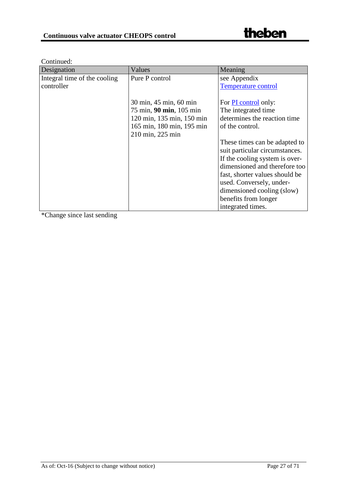| Designation                  | Values                    | Meaning                        |
|------------------------------|---------------------------|--------------------------------|
| Integral time of the cooling | Pure P control            | see Appendix                   |
| controller                   |                           | <b>Temperature control</b>     |
|                              |                           |                                |
|                              | 30 min, 45 min, 60 min    | For PI control only:           |
|                              | 75 min, 90 min, 105 min   | The integrated time            |
|                              | 120 min, 135 min, 150 min | determines the reaction time   |
|                              | 165 min, 180 min, 195 min | of the control.                |
|                              | 210 min, 225 min          |                                |
|                              |                           | These times can be adapted to  |
|                              |                           | suit particular circumstances. |
|                              |                           | If the cooling system is over- |
|                              |                           | dimensioned and therefore too  |
|                              |                           | fast, shorter values should be |
|                              |                           | used. Conversely, under-       |
|                              |                           | dimensioned cooling (slow)     |
|                              |                           | benefits from longer           |
|                              |                           | integrated times.              |

\*Change since last sending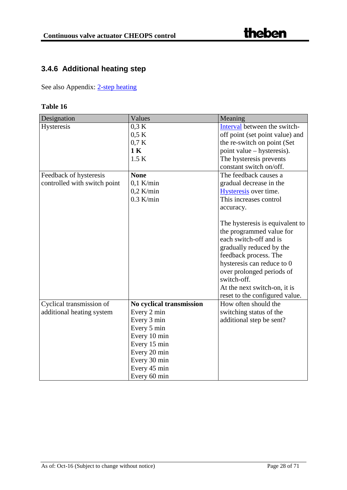## <span id="page-27-0"></span>**3.4.6 Additional heating step**

See also Appendix: [2-step heating](#page-58-0)

| <b>Table 16</b> |  |
|-----------------|--|
|-----------------|--|

| Designation                  | Values                   | Meaning                         |
|------------------------------|--------------------------|---------------------------------|
| Hysteresis                   | 0.3 K                    | Interval between the switch-    |
|                              | 0.5 K                    | off point (set point value) and |
|                              | 0.7 K                    | the re-switch on point (Set     |
|                              | 1 K                      | point value – hysteresis).      |
|                              | 1.5 K                    | The hysteresis prevents         |
|                              |                          | constant switch on/off.         |
| Feedback of hysteresis       | <b>None</b>              | The feedback causes a           |
| controlled with switch point | $0,1$ K/min              | gradual decrease in the         |
|                              | $0,2$ K/min              | Hysteresis over time.           |
|                              | $0.3$ K/min              | This increases control          |
|                              |                          | accuracy.                       |
|                              |                          |                                 |
|                              |                          | The hysteresis is equivalent to |
|                              |                          | the programmed value for        |
|                              |                          | each switch-off and is          |
|                              |                          | gradually reduced by the        |
|                              |                          | feedback process. The           |
|                              |                          | hysteresis can reduce to 0      |
|                              |                          | over prolonged periods of       |
|                              |                          | switch-off.                     |
|                              |                          | At the next switch-on, it is    |
|                              |                          | reset to the configured value.  |
| Cyclical transmission of     | No cyclical transmission | How often should the            |
| additional heating system    | Every 2 min              | switching status of the         |
|                              | Every 3 min              | additional step be sent?        |
|                              | Every 5 min              |                                 |
|                              | Every 10 min             |                                 |
|                              | Every 15 min             |                                 |
|                              | Every 20 min             |                                 |
|                              | Every 30 min             |                                 |
|                              | Every 45 min             |                                 |
|                              | Every 60 min             |                                 |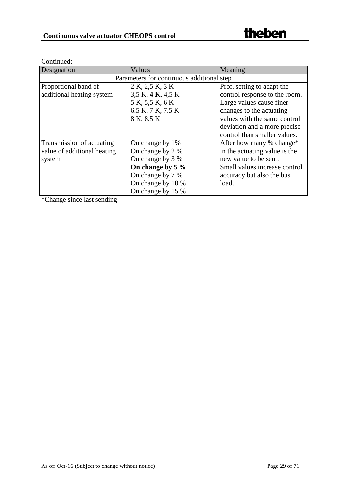| Designation                               | Values             | Meaning                       |
|-------------------------------------------|--------------------|-------------------------------|
| Parameters for continuous additional step |                    |                               |
| Proportional band of                      | 2 K, 2,5 K, 3 K    | Prof. setting to adapt the    |
| additional heating system                 | 3,5 K, 4 K, 4,5 K  | control response to the room. |
|                                           | 5 K, 5,5 K, 6 K    | Large values cause finer      |
|                                           | 6.5 K, 7 K, 7.5 K  | changes to the actuating      |
|                                           | 8 K, 8.5 K         | values with the same control  |
|                                           |                    | deviation and a more precise  |
|                                           |                    | control than smaller values.  |
| Transmission of actuating                 | On change by 1%    | After how many % change*      |
| value of additional heating               | On change by 2 %   | in the actuating value is the |
| system                                    | On change by 3 %   | new value to be sent.         |
|                                           | On change by $5\%$ | Small values increase control |
|                                           | On change by 7 %   | accuracy but also the bus     |
|                                           | On change by 10 %  | load.                         |
|                                           | On change by 15 %  |                               |

Continued:

\*Change since last sending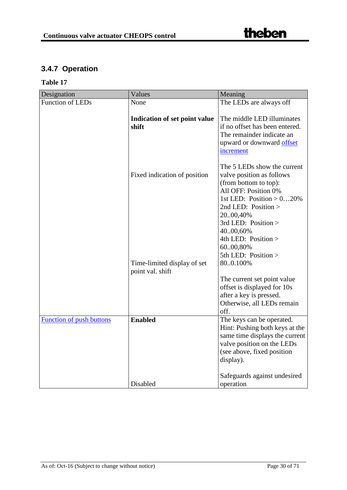## <span id="page-29-0"></span>**3.4.7 Operation**

| Designation                     | Values                                          | Meaning                                                                                                                                                                |
|---------------------------------|-------------------------------------------------|------------------------------------------------------------------------------------------------------------------------------------------------------------------------|
| <b>Function of LEDs</b>         | None                                            | The LEDs are always off                                                                                                                                                |
|                                 | <b>Indication of set point value</b><br>shift   | The middle LED illuminates<br>if no offset has been entered.<br>The remainder indicate an                                                                              |
|                                 |                                                 | upward or downward offset<br>increment                                                                                                                                 |
|                                 | Fixed indication of position                    | The 5 LEDs show the current<br>valve position as follows<br>(from bottom to top):<br>All OFF: Position 0%<br>1st LED: Position $> 020\%$                               |
|                                 |                                                 | 2nd LED: Position $>$<br>2000,40%<br>3rd LED: Position ><br>4000,60%<br>4th LED: Position >                                                                            |
|                                 | Time-limited display of set<br>point val. shift | 6000,80%<br>5th LED: Position ><br>800.100%                                                                                                                            |
|                                 |                                                 | The current set point value<br>offset is displayed for 10s<br>after a key is pressed.<br>Otherwise, all LEDs remain<br>off.                                            |
| <b>Function of push buttons</b> | <b>Enabled</b>                                  | The keys can be operated.<br>Hint: Pushing both keys at the<br>same time displays the current<br>valve position on the LEDs<br>(see above, fixed position<br>display). |
|                                 | Disabled                                        | Safeguards against undesired<br>operation                                                                                                                              |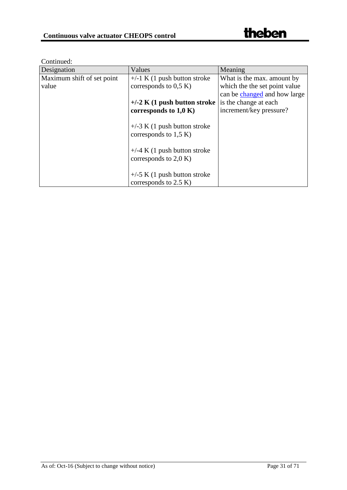<span id="page-30-0"></span>Continued:

| Designation                | Values                                                     | Meaning                       |
|----------------------------|------------------------------------------------------------|-------------------------------|
| Maximum shift of set point | $+/-1$ K (1 push button stroke                             | What is the max. amount by    |
| value                      | corresponds to $0.5 K$                                     | which the the set point value |
|                            |                                                            | can be changed and how large  |
|                            | $+/-2$ K (1 push button stroke                             | is the change at each         |
|                            | corresponds to $1,0 K$                                     | increment/key pressure?       |
|                            | $+/-3$ K (1 push button stroke<br>corresponds to $1,5 K$ ) |                               |
|                            | $+/-4$ K (1 push button stroke<br>corresponds to $2,0 K$ ) |                               |
|                            | $+/-5$ K (1 push button stroke<br>corresponds to $2.5 K$ ) |                               |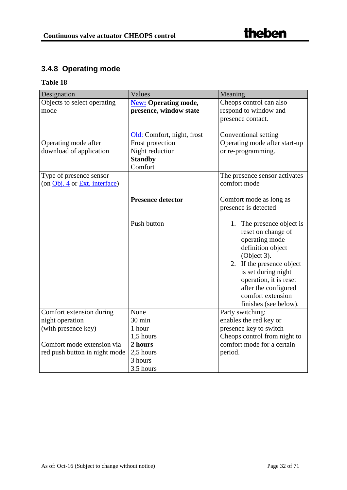## <span id="page-31-0"></span>**3.4.8 Operating mode**

| Designation                                                 | Values                                                    | Meaning                                                               |
|-------------------------------------------------------------|-----------------------------------------------------------|-----------------------------------------------------------------------|
| Objects to select operating                                 | <b>New: Operating mode,</b>                               | Cheops control can also                                               |
| mode                                                        | presence, window state                                    | respond to window and                                                 |
|                                                             |                                                           | presence contact.                                                     |
|                                                             |                                                           |                                                                       |
|                                                             | Old: Comfort, night, frost                                | Conventional setting                                                  |
| Operating mode after                                        | Frost protection                                          | Operating mode after start-up                                         |
| download of application                                     | Night reduction                                           | or re-programming.                                                    |
|                                                             | <b>Standby</b>                                            |                                                                       |
|                                                             | Comfort                                                   |                                                                       |
| Type of presence sensor                                     |                                                           | The presence sensor activates                                         |
| (on Obj. 4 or Ext. interface)                               |                                                           | comfort mode                                                          |
|                                                             |                                                           |                                                                       |
|                                                             | <b>Presence detector</b>                                  | Comfort mode as long as                                               |
|                                                             |                                                           | presence is detected                                                  |
|                                                             |                                                           |                                                                       |
|                                                             | Push button                                               | 1. The presence object is                                             |
|                                                             |                                                           | reset on change of                                                    |
|                                                             |                                                           | operating mode                                                        |
|                                                             |                                                           | definition object                                                     |
|                                                             |                                                           | (Object 3).                                                           |
|                                                             |                                                           | 2. If the presence object                                             |
|                                                             |                                                           | is set during night                                                   |
|                                                             |                                                           | operation, it is reset<br>after the configured                        |
|                                                             |                                                           | comfort extension                                                     |
|                                                             |                                                           | finishes (see below).                                                 |
| Comfort extension during                                    | None                                                      | Party switching:                                                      |
| night operation                                             | 30 min                                                    | enables the red key or                                                |
| (with presence key)                                         | 1 hour                                                    | presence key to switch                                                |
|                                                             |                                                           |                                                                       |
|                                                             |                                                           |                                                                       |
|                                                             |                                                           |                                                                       |
|                                                             |                                                           |                                                                       |
|                                                             |                                                           |                                                                       |
| Comfort mode extension via<br>red push button in night mode | 1,5 hours<br>2 hours<br>2,5 hours<br>3 hours<br>3.5 hours | Cheops control from night to<br>comfort mode for a certain<br>period. |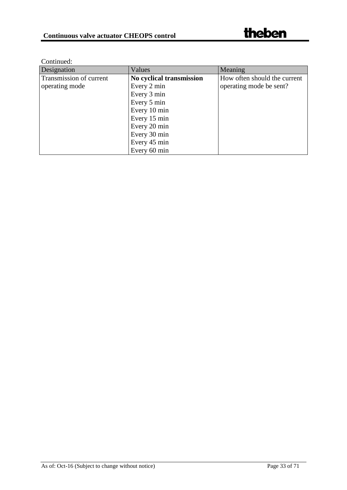| Designation             | Values                   | Meaning                      |
|-------------------------|--------------------------|------------------------------|
| Transmission of current | No cyclical transmission | How often should the current |
| operating mode          | Every 2 min              | operating mode be sent?      |
|                         | Every 3 min              |                              |
|                         | Every 5 min              |                              |
|                         | Every 10 min             |                              |
|                         | Every 15 min             |                              |
|                         | Every 20 min             |                              |
|                         | Every 30 min             |                              |
|                         | Every 45 min             |                              |
|                         | Every 60 min             |                              |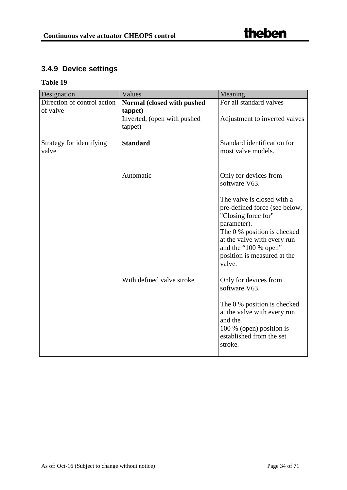## <span id="page-33-0"></span>**3.4.9 Device settings**

| Designation                       | Values                                            | Meaning                                                                                                                                                                                                                          |
|-----------------------------------|---------------------------------------------------|----------------------------------------------------------------------------------------------------------------------------------------------------------------------------------------------------------------------------------|
| Direction of control action       | Normal (closed with pushed                        | For all standard valves                                                                                                                                                                                                          |
| of valve                          | tappet)<br>Inverted, (open with pushed<br>tappet) | Adjustment to inverted valves                                                                                                                                                                                                    |
|                                   |                                                   |                                                                                                                                                                                                                                  |
| Strategy for identifying<br>valve | <b>Standard</b>                                   | Standard identification for<br>most valve models.                                                                                                                                                                                |
|                                   | Automatic                                         | Only for devices from<br>software V63.                                                                                                                                                                                           |
|                                   |                                                   | The valve is closed with a<br>pre-defined force (see below,<br>"Closing force for"<br>parameter).<br>The 0 % position is checked<br>at the valve with every run<br>and the "100 % open"<br>position is measured at the<br>valve. |
|                                   | With defined valve stroke                         | Only for devices from<br>software V63.                                                                                                                                                                                           |
|                                   |                                                   | The 0 % position is checked<br>at the valve with every run<br>and the<br>100 % (open) position is<br>established from the set<br>stroke.                                                                                         |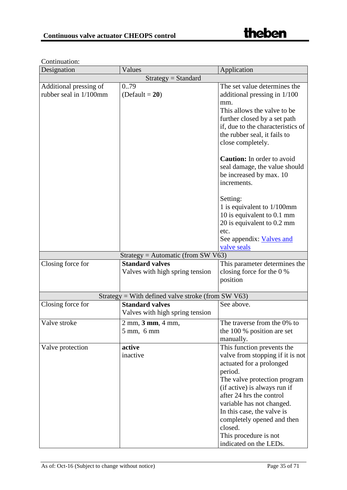| Designation                                      | Values                                                                                | Application                                                                                                                                                                                                                                                                                                                                              |  |
|--------------------------------------------------|---------------------------------------------------------------------------------------|----------------------------------------------------------------------------------------------------------------------------------------------------------------------------------------------------------------------------------------------------------------------------------------------------------------------------------------------------------|--|
| $Strategy = Standard$                            |                                                                                       |                                                                                                                                                                                                                                                                                                                                                          |  |
| Additional pressing of<br>rubber seal in 1/100mm | 079<br>$(Default = 20)$                                                               | The set value determines the<br>additional pressing in 1/100<br>mm.<br>This allows the valve to be<br>further closed by a set path<br>if, due to the characteristics of<br>the rubber seal, it fails to<br>close completely.                                                                                                                             |  |
|                                                  |                                                                                       | <b>Caution:</b> In order to avoid<br>seal damage, the value should<br>be increased by max. 10<br>increments.                                                                                                                                                                                                                                             |  |
|                                                  |                                                                                       | Setting:<br>1 is equivalent to $1/100$ mm<br>10 is equivalent to 0.1 mm<br>20 is equivalent to 0.2 mm<br>etc.<br>See appendix: Valves and<br>valve seals                                                                                                                                                                                                 |  |
|                                                  | $Strategy = Automatic (from SW V63)$                                                  |                                                                                                                                                                                                                                                                                                                                                          |  |
| Closing force for                                | <b>Standard valves</b><br>Valves with high spring tension                             | This parameter determines the<br>closing force for the 0 %<br>position                                                                                                                                                                                                                                                                                   |  |
|                                                  | Strategy = With defined valve stroke (from SW $V63$ )                                 |                                                                                                                                                                                                                                                                                                                                                          |  |
| Closing force for                                | <b>Standard valves</b><br>Valves with high spring tension                             | See above.                                                                                                                                                                                                                                                                                                                                               |  |
| Valve stroke                                     | $2 \text{ mm}$ , $3 \text{ mm}$ , $4 \text{ mm}$ ,<br>$5 \text{ mm}$ , $6 \text{ mm}$ | The traverse from the 0% to<br>the 100 % position are set<br>manually.                                                                                                                                                                                                                                                                                   |  |
| Valve protection                                 | active<br>inactive                                                                    | This function prevents the<br>valve from stopping if it is not<br>actuated for a prolonged<br>period.<br>The valve protection program<br>(if active) is always run if<br>after 24 hrs the control<br>variable has not changed.<br>In this case, the valve is<br>completely opened and then<br>closed.<br>This procedure is not<br>indicated on the LEDs. |  |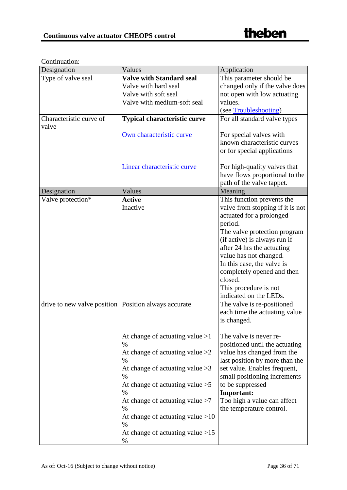## Continuation:

| <b>Valve with Standard seal</b><br>Type of valve seal<br>This parameter should be<br>Valve with hard seal<br>Valve with soft seal<br>not open with low actuating<br>Valve with medium-soft seal<br>values.<br>(see Troubleshooting) | Designation             | Values                              | Application                      |
|-------------------------------------------------------------------------------------------------------------------------------------------------------------------------------------------------------------------------------------|-------------------------|-------------------------------------|----------------------------------|
|                                                                                                                                                                                                                                     |                         |                                     |                                  |
|                                                                                                                                                                                                                                     |                         |                                     | changed only if the valve does   |
|                                                                                                                                                                                                                                     |                         |                                     |                                  |
|                                                                                                                                                                                                                                     |                         |                                     |                                  |
|                                                                                                                                                                                                                                     |                         |                                     |                                  |
| valve                                                                                                                                                                                                                               | Characteristic curve of | <b>Typical characteristic curve</b> | For all standard valve types     |
| Own characteristic curve<br>For special valves with                                                                                                                                                                                 |                         |                                     |                                  |
| known characteristic curves                                                                                                                                                                                                         |                         |                                     |                                  |
| or for special applications                                                                                                                                                                                                         |                         |                                     |                                  |
| Linear characteristic curve<br>For high-quality valves that                                                                                                                                                                         |                         |                                     |                                  |
|                                                                                                                                                                                                                                     |                         |                                     | have flows proportional to the   |
| path of the valve tappet.                                                                                                                                                                                                           |                         |                                     |                                  |
| Meaning<br>Designation<br>Values                                                                                                                                                                                                    |                         |                                     |                                  |
| Valve protection*<br>This function prevents the<br><b>Active</b>                                                                                                                                                                    |                         |                                     |                                  |
| Inactive                                                                                                                                                                                                                            |                         |                                     | valve from stopping if it is not |
| actuated for a prolonged                                                                                                                                                                                                            |                         |                                     |                                  |
| period.                                                                                                                                                                                                                             |                         |                                     |                                  |
|                                                                                                                                                                                                                                     |                         |                                     | The valve protection program     |
| (if active) is always run if                                                                                                                                                                                                        |                         |                                     |                                  |
| after 24 hrs the actuating                                                                                                                                                                                                          |                         |                                     |                                  |
| value has not changed.                                                                                                                                                                                                              |                         |                                     |                                  |
| In this case, the valve is                                                                                                                                                                                                          |                         |                                     |                                  |
| completely opened and then<br>closed.                                                                                                                                                                                               |                         |                                     |                                  |
| This procedure is not                                                                                                                                                                                                               |                         |                                     |                                  |
| indicated on the LEDs.                                                                                                                                                                                                              |                         |                                     |                                  |
| drive to new valve position   Position always accurate<br>The valve is re-positioned                                                                                                                                                |                         |                                     |                                  |
| each time the actuating value                                                                                                                                                                                                       |                         |                                     |                                  |
| is changed.                                                                                                                                                                                                                         |                         |                                     |                                  |
| At change of actuating value $>1$<br>The valve is never re-                                                                                                                                                                         |                         |                                     |                                  |
| $\%$<br>positioned until the actuating                                                                                                                                                                                              |                         |                                     |                                  |
| At change of actuating value $>2$<br>value has changed from the                                                                                                                                                                     |                         |                                     |                                  |
| %                                                                                                                                                                                                                                   |                         |                                     | last position by more than the   |
| At change of actuating value $>3$<br>set value. Enables frequent,                                                                                                                                                                   |                         |                                     |                                  |
| small positioning increments<br>%                                                                                                                                                                                                   |                         |                                     |                                  |
| At change of actuating value $>5$<br>to be suppressed<br><b>Important:</b><br>$\%$                                                                                                                                                  |                         |                                     |                                  |
| Too high a value can affect<br>At change of actuating value $>7$                                                                                                                                                                    |                         |                                     |                                  |
| $\%$<br>the temperature control.                                                                                                                                                                                                    |                         |                                     |                                  |
| At change of actuating value $>10$<br>$\%$                                                                                                                                                                                          |                         |                                     |                                  |
| At change of actuating value $>15$<br>$\%$                                                                                                                                                                                          |                         |                                     |                                  |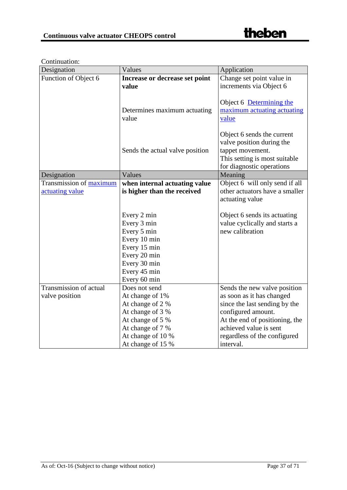| Designation             | Values                          | Application                    |
|-------------------------|---------------------------------|--------------------------------|
| Function of Object 6    | Increase or decrease set point  | Change set point value in      |
|                         | value                           | increments via Object 6        |
|                         |                                 | Object 6 Determining the       |
|                         | Determines maximum actuating    | maximum actuating actuating    |
|                         | value                           | value                          |
|                         |                                 |                                |
|                         |                                 | Object 6 sends the current     |
|                         |                                 | valve position during the      |
|                         | Sends the actual valve position | tappet movement.               |
|                         |                                 | This setting is most suitable  |
|                         |                                 | for diagnostic operations      |
| Designation             | Values                          | Meaning                        |
| Transmission of maximum | when internal actuating value   | Object 6 will only send if all |
| actuating value         | is higher than the received     | other actuators have a smaller |
|                         |                                 | actuating value                |
|                         |                                 |                                |
|                         | Every 2 min                     | Object 6 sends its actuating   |
|                         | Every 3 min                     | value cyclically and starts a  |
|                         | Every 5 min                     | new calibration                |
|                         | Every 10 min                    |                                |
|                         | Every 15 min                    |                                |
|                         | Every 20 min                    |                                |
|                         | Every 30 min                    |                                |
|                         | Every 45 min                    |                                |
|                         | Every 60 min                    |                                |
| Transmission of actual  | Does not send                   | Sends the new valve position   |
| valve position          | At change of 1%                 | as soon as it has changed      |
|                         | At change of 2 %                | since the last sending by the  |
|                         | At change of 3 %                | configured amount.             |
|                         | At change of 5 %                | At the end of positioning, the |
|                         | At change of 7 %                | achieved value is sent         |
|                         | At change of 10 %               | regardless of the configured   |
|                         | At change of 15 %               | interval.                      |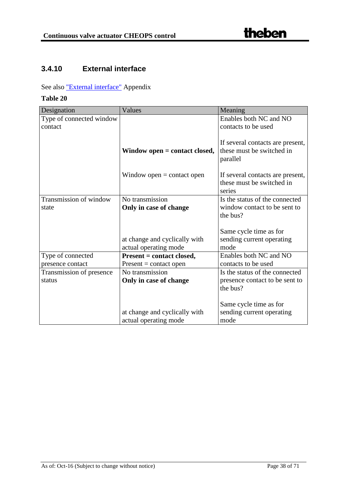## <span id="page-37-0"></span>**3.4.10 External interface**

See also ["External interface"](#page-50-3) Appendix

| Designation              | Values                          | Meaning                          |
|--------------------------|---------------------------------|----------------------------------|
| Type of connected window |                                 | Enables both NC and NO           |
| contact                  |                                 | contacts to be used              |
|                          |                                 |                                  |
|                          |                                 | If several contacts are present, |
|                          | Window open $=$ contact closed, | these must be switched in        |
|                          |                                 | parallel                         |
|                          |                                 |                                  |
|                          | Window open $=$ contact open    | If several contacts are present, |
|                          |                                 | these must be switched in        |
|                          |                                 | series                           |
| Transmission of window   | No transmission                 | Is the status of the connected   |
| state                    | Only in case of change          | window contact to be sent to     |
|                          |                                 | the bus?                         |
|                          |                                 |                                  |
|                          |                                 | Same cycle time as for           |
|                          | at change and cyclically with   | sending current operating        |
|                          | actual operating mode           | mode                             |
| Type of connected        | Present = contact closed,       | Enables both NC and NO           |
| presence contact         | $Present = contact open$        | contacts to be used              |
| Transmission of presence | No transmission                 | Is the status of the connected   |
| status                   | Only in case of change          | presence contact to be sent to   |
|                          |                                 | the bus?                         |
|                          |                                 |                                  |
|                          |                                 | Same cycle time as for           |
|                          | at change and cyclically with   | sending current operating        |
|                          | actual operating mode           | mode                             |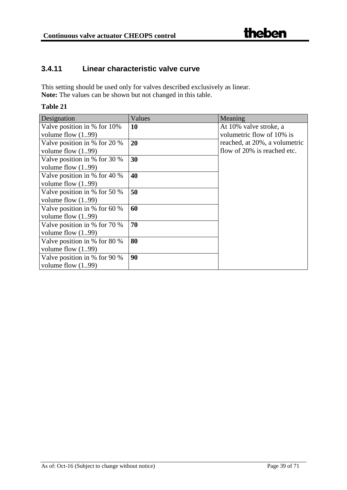## <span id="page-38-0"></span>**3.4.11 Linear characteristic valve curve**

This setting should be used only for valves described exclusively as linear. **Note:** The values can be shown but not changed in this table.

| Designation                      | Values    | Meaning                       |
|----------------------------------|-----------|-------------------------------|
| Valve position in % for 10%      | <b>10</b> | At 10% valve stroke, a        |
| volume flow $(1.99)$             |           | volumetric flow of 10% is     |
| Valve position in % for 20 %     | 20        | reached, at 20%, a volumetric |
| volume flow $(1.99)$             |           | flow of 20% is reached etc.   |
| Valve position in % for 30 %     | 30        |                               |
| volume flow $(199)$              |           |                               |
| Valve position in % for 40 %     | 40        |                               |
| volume flow $(199)$              |           |                               |
| Valve position in % for 50 %     | 50        |                               |
| volume flow $(1.99)$             |           |                               |
| Valve position in $%$ for 60 $%$ | 60        |                               |
| volume flow $(1.99)$             |           |                               |
| Valve position in % for 70 %     | 70        |                               |
| volume flow $(1.99)$             |           |                               |
| Valve position in % for 80 %     | 80        |                               |
| volume flow $(199)$              |           |                               |
| Valve position in % for 90 %     | 90        |                               |
| volume flow $(199)$              |           |                               |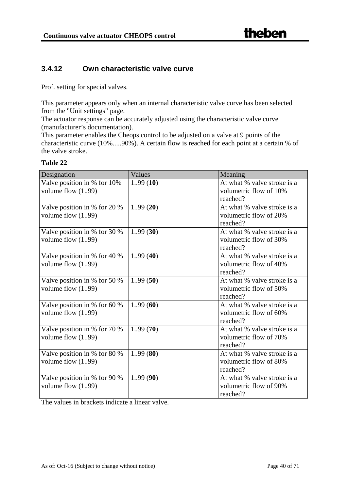## <span id="page-39-0"></span>**3.4.12 Own characteristic valve curve**

Prof. setting for special valves.

This parameter appears only when an internal characteristic valve curve has been selected from the "Unit settings" page.

The actuator response can be accurately adjusted using the characteristic valve curve (manufacturer's documentation).

This parameter enables the Cheops control to be adjusted on a valve at 9 points of the characteristic curve (10%.....90%). A certain flow is reached for each point at a certain % of the valve stroke.

| l'able |  |
|--------|--|
|--------|--|

| Designation                                          | Values   | Meaning                                                           |
|------------------------------------------------------|----------|-------------------------------------------------------------------|
| Valve position in % for 10%<br>volume flow $(1.99)$  | 1.99(10) | At what % valve stroke is a<br>volumetric flow of 10%<br>reached? |
| Valve position in % for 20 %<br>volume flow $(1.99)$ | 1.99(20) | At what % valve stroke is a<br>volumetric flow of 20%<br>reached? |
| Valve position in % for 30 %<br>volume flow $(1.99)$ | 1.99(30) | At what % valve stroke is a<br>volumetric flow of 30%<br>reached? |
| Valve position in % for 40 %<br>volume flow $(1.99)$ | 1.99(40) | At what % valve stroke is a<br>volumetric flow of 40%<br>reached? |
| Valve position in % for 50 %<br>volume flow $(1.99)$ | 1.99(50) | At what % valve stroke is a<br>volumetric flow of 50%<br>reached? |
| Valve position in % for 60 %<br>volume flow $(1.99)$ | 1.99(60) | At what % valve stroke is a<br>volumetric flow of 60%<br>reached? |
| Valve position in % for 70 %<br>volume flow $(1.99)$ | 1.99(70) | At what % valve stroke is a<br>volumetric flow of 70%<br>reached? |
| Valve position in % for 80 %<br>volume flow $(199)$  | 1.99(80) | At what % valve stroke is a<br>volumetric flow of 80%<br>reached? |
| Valve position in % for 90 %<br>volume flow $(1.99)$ | 1.99(90) | At what % valve stroke is a<br>volumetric flow of 90%<br>reached? |

The values in brackets indicate a linear valve.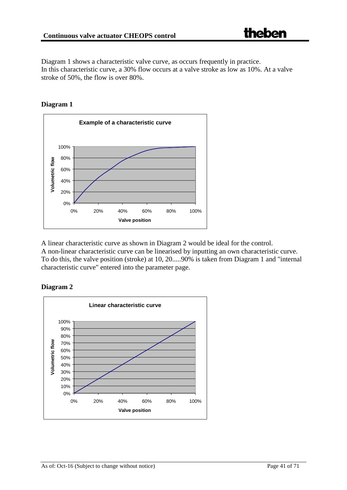Diagram 1 shows a characteristic valve curve, as occurs frequently in practice. In this characteristic curve, a 30% flow occurs at a valve stroke as low as 10%. At a valve stroke of 50%, the flow is over 80%.

**Diagram 1**

![](_page_40_Figure_4.jpeg)

A linear characteristic curve as shown in Diagram 2 would be ideal for the control. A non-linear characteristic curve can be linearised by inputting an own characteristic curve. To do this, the valve position (stroke) at 10, 20.....90% is taken from Diagram 1 and "internal characteristic curve" entered into the parameter page.

**Diagram 2**

![](_page_40_Figure_7.jpeg)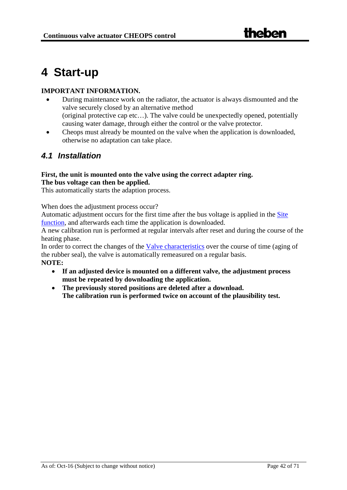## <span id="page-41-0"></span>**4 Start-up**

#### **IMPORTANT INFORMATION.**

- During maintenance work on the radiator, the actuator is always dismounted and the valve securely closed by an alternative method (original protective cap etc…). The valve could be unexpectedly opened, potentially causing water damage, through either the control or the valve protector.
- Cheops must already be mounted on the valve when the application is downloaded, otherwise no adaptation can take place.

## <span id="page-41-1"></span>*4.1 Installation*

#### **First, the unit is mounted onto the valve using the correct adapter ring. The bus voltage can then be applied.**

This automatically starts the adaption process.

When does the adjustment process occur?

Automatic adjustment occurs for the first time after the bus voltage is applied in the Site function, and afterwards each time the application is downloaded.

A new calibration run is performed at regular intervals after reset and during the course of the heating phase.

In order to correct the changes of the Valve characteristics over the course of time (aging of the rubber seal), the valve is automatically remeasured on a regular basis. **NOTE:**

- **If an adjusted device is mounted on a different valve, the adjustment process must be repeated by downloading the application.**
- **The previously stored positions are deleted after a download. The calibration run is performed twice on account of the plausibility test.**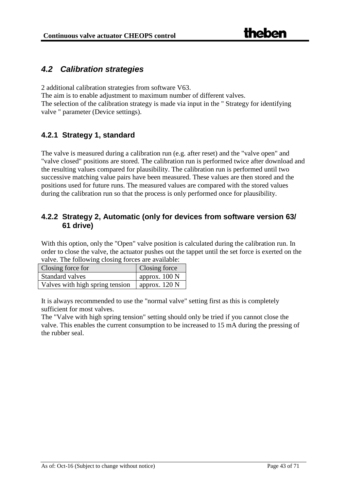## <span id="page-42-3"></span><span id="page-42-0"></span>*4.2 Calibration strategies*

2 additional calibration strategies from software V63.

The aim is to enable adjustment to maximum number of different valves.

The selection of the calibration strategy is made via input in the " Strategy for identifying valve " parameter (Device settings).

## <span id="page-42-1"></span>**4.2.1 Strategy 1, standard**

The valve is measured during a calibration run (e.g. after reset) and the "valve open" and "valve closed" positions are stored. The calibration run is performed twice after download and the resulting values compared for plausibility. The calibration run is performed until two successive matching value pairs have been measured. These values are then stored and the positions used for future runs. The measured values are compared with the stored values during the calibration run so that the process is only performed once for plausibility.

## <span id="page-42-2"></span>**4.2.2 Strategy 2, Automatic (only for devices from software version 63/ 61 drive)**

With this option, only the "Open" valve position is calculated during the calibration run. In order to close the valve, the actuator pushes out the tappet until the set force is exerted on the valve. The following closing forces are available:

| Closing force for               | Closing force           |
|---------------------------------|-------------------------|
| Standard valves                 | approx. $100 \text{ N}$ |
| Valves with high spring tension | approx. $120 \text{ N}$ |

It is always recommended to use the "normal valve" setting first as this is completely sufficient for most valves.

The "Valve with high spring tension" setting should only be tried if you cannot close the valve. This enables the current consumption to be increased to 15 mA during the pressing of the rubber seal.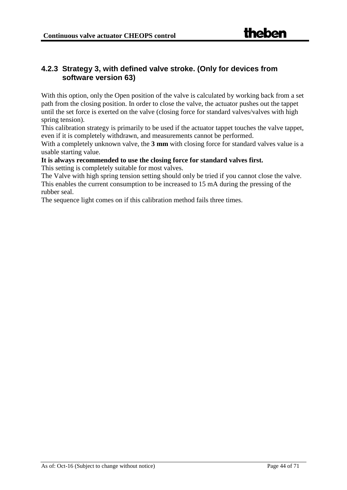## <span id="page-43-0"></span>**4.2.3 Strategy 3, with defined valve stroke. (Only for devices from software version 63)**

With this option, only the Open position of the valve is calculated by working back from a set path from the closing position. In order to close the valve, the actuator pushes out the tappet until the set force is exerted on the valve (closing force for standard valves/valves with high spring tension).

This calibration strategy is primarily to be used if the actuator tappet touches the valve tappet, even if it is completely withdrawn, and measurements cannot be performed.

With a completely unknown valve, the **3 mm** with closing force for standard valves value is a usable starting value.

**It is always recommended to use the closing force for standard valves first.**

This setting is completely suitable for most valves.

The Valve with high spring tension setting should only be tried if you cannot close the valve. This enables the current consumption to be increased to 15 mA during the pressing of the rubber seal.

The sequence light comes on if this calibration method fails three times.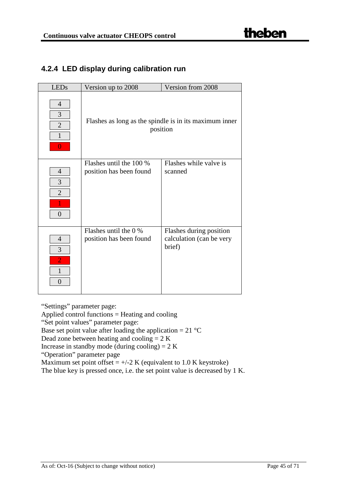## <span id="page-44-0"></span>**4.2.4 LED display during calibration run**

| <b>LEDs</b>                                                       | Version up to 2008                                 | Version from 2008                                                  |
|-------------------------------------------------------------------|----------------------------------------------------|--------------------------------------------------------------------|
| $\overline{4}$<br>3<br>$\overline{2}$<br>$\mathbf{1}$<br>$\theta$ |                                                    | Flashes as long as the spindle is in its maximum inner<br>position |
| $\overline{4}$<br>3                                               | Flashes until the 100 %<br>position has been found | Flashes while valve is<br>scanned                                  |
| $\overline{2}$<br>$\theta$                                        |                                                    |                                                                    |
|                                                                   |                                                    |                                                                    |
| $\overline{4}$<br>3<br>$\overline{2}$<br>$\mathbf{1}$<br>$\Omega$ | Flashes until the 0 %<br>position has been found   | Flashes during position<br>calculation (can be very<br>brief)      |

"Settings" parameter page:

Applied control functions = Heating and cooling

"Set point values" parameter page:

Base set point value after loading the application =  $21 \degree C$ 

Dead zone between heating and cooling = 2 K

Increase in standby mode (during cooling) =  $2 K$ 

"Operation" parameter page

Maximum set point offset  $= +/-2$  K (equivalent to 1.0 K keystroke)

The blue key is pressed once, i.e. the set point value is decreased by 1 K.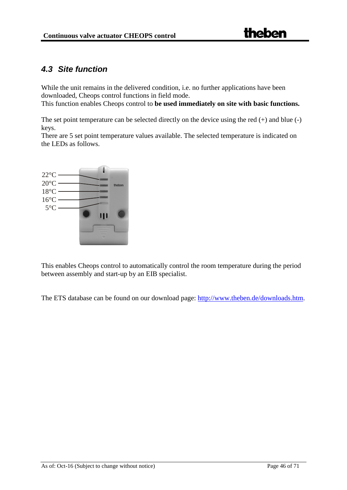## <span id="page-45-0"></span>*4.3 Site function*

While the unit remains in the delivered condition, *i.e.* no further applications have been downloaded, Cheops control functions in field mode. This function enables Cheops control to **be used immediately on site with basic functions.**

The set point temperature can be selected directly on the device using the red (+) and blue (-) keys.

There are 5 set point temperature values available. The selected temperature is indicated on the LEDs as follows.

![](_page_45_Figure_6.jpeg)

This enables Cheops control to automatically control the room temperature during the period between assembly and start-up by an EIB specialist.

The ETS database can be found on our download page: [http://www.theben.de/downloads.htm.](http://www.theben.de/downloads.htm)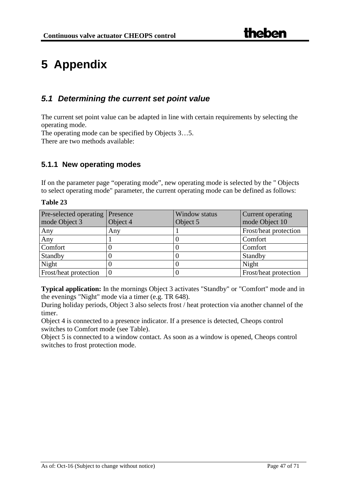# <span id="page-46-0"></span>**5 Appendix**

## <span id="page-46-1"></span>*5.1 Determining the current set point value*

The current set point value can be adapted in line with certain requirements by selecting the operating mode.

The operating mode can be specified by Objects 3…5.

There are two methods available:

## <span id="page-46-2"></span>**5.1.1 New operating modes**

If on the parameter page "operating mode", new operating mode is selected by the " Objects to select operating mode" parameter, the current operating mode can be defined as follows:

#### **Table 23**

| Pre-selected operating       | Presence | Window status | Current operating     |
|------------------------------|----------|---------------|-----------------------|
| mode Object 3                | Object 4 | Object 5      | mode Object 10        |
| Any                          | Any      |               | Frost/heat protection |
| Any                          |          |               | Comfort               |
| Comfort                      |          |               | Comfort               |
| Standby                      |          |               | Standby               |
| Night                        |          |               | Night                 |
| <b>Frost/heat protection</b> |          |               | Frost/heat protection |

**Typical application:** In the mornings Object 3 activates "Standby" or "Comfort" mode and in the evenings "Night" mode via a timer (e.g. TR 648).

During holiday periods, Object 3 also selects frost / heat protection via another channel of the timer.

Object 4 is connected to a presence indicator. If a presence is detected, Cheops control switches to Comfort mode (see Table).

Object 5 is connected to a window contact. As soon as a window is opened, Cheops control switches to frost protection mode.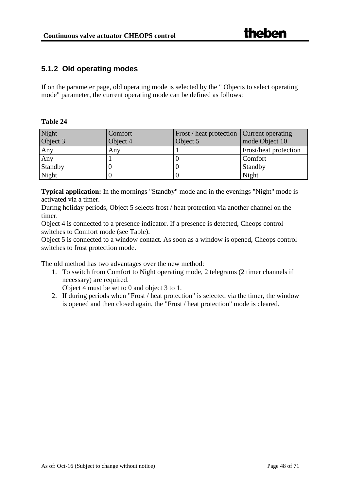## <span id="page-47-0"></span>**5.1.2 Old operating modes**

If on the parameter page, old operating mode is selected by the " Objects to select operating mode" parameter, the current operating mode can be defined as follows:

#### **Table 24**

| Night<br>Object 3 | Comfort<br>Object 4 | Frost / heat protection   Current operating<br>Object 5 | mode Object 10        |
|-------------------|---------------------|---------------------------------------------------------|-----------------------|
| Any               | Any                 |                                                         | Frost/heat protection |
| Any               |                     |                                                         | Comfort               |
| Standby           |                     |                                                         | Standby               |
| Night             |                     |                                                         | Night                 |

**Typical application:** In the mornings "Standby" mode and in the evenings "Night" mode is activated via a timer.

During holiday periods, Object 5 selects frost / heat protection via another channel on the timer.

Object 4 is connected to a presence indicator. If a presence is detected, Cheops control switches to Comfort mode (see Table).

Object 5 is connected to a window contact. As soon as a window is opened, Cheops control switches to frost protection mode.

The old method has two advantages over the new method:

1. To switch from Comfort to Night operating mode, 2 telegrams (2 timer channels if necessary) are required.

Object 4 must be set to 0 and object 3 to 1.

2. If during periods when "Frost / heat protection" is selected via the timer, the window is opened and then closed again, the "Frost / heat protection" mode is cleared.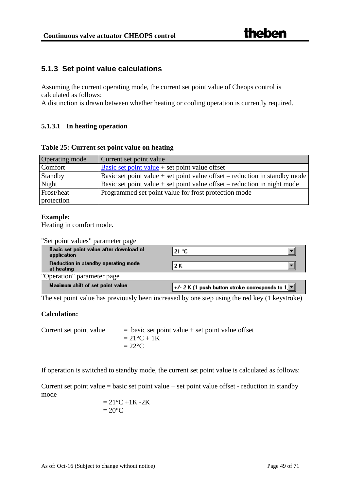### <span id="page-48-0"></span>**5.1.3 Set point value calculations**

Assuming the current operating mode, the current set point value of Cheops control is calculated as follows:

A distinction is drawn between whether heating or cooling operation is currently required.

#### **5.1.3.1 In heating operation**

| Table 25: Current set point value on heating |  |
|----------------------------------------------|--|
|                                              |  |

| Operating mode | Current set point value                                                      |
|----------------|------------------------------------------------------------------------------|
| Comfort        | Basic set point value $+$ set point value offset                             |
| Standby        | Basic set point value + set point value offset – reduction in standby mode   |
| Night          | Basic set point value $+$ set point value offset $-$ reduction in night mode |
| Frost/heat     | Programmed set point value for frost protection mode                         |
| protection     |                                                                              |

#### **Example:**

Heating in comfort mode.

| "Set point values" parameter page                      |                                                                                                             |
|--------------------------------------------------------|-------------------------------------------------------------------------------------------------------------|
| Basic set point value after download of<br>application | $21 \text{ } ^{\circ}C$                                                                                     |
| Reduction in standby operating mode<br>at heating      | 2 K                                                                                                         |
| "Operation" parameter page                             |                                                                                                             |
| Maximum shift of set point value                       | $\left\Vert \ast/\right\vert$ 2 K (1 push button stroke corresponds to 1 $\left\Vert \mathbf{v}\right\Vert$ |

The set point value has previously been increased by one step using the red key (1 keystroke)

#### **Calculation:**

Current set point value  $=$  basic set point value + set point value offset  $= 21$ °C + 1K  $= 22$ <sup>o</sup>C

If operation is switched to standby mode, the current set point value is calculated as follows:

Current set point value = basic set point value + set point value offset - reduction in standby mode

$$
= 21^{\circ}\text{C} + 1\text{K} - 2\text{K}
$$

$$
= 20^{\circ}\text{C}
$$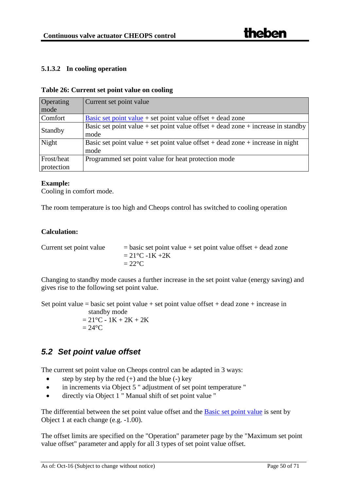#### **5.1.3.2 In cooling operation**

#### **Table 26: Current set point value on cooling**

| <b>Operating</b> | Current set point value                                                          |
|------------------|----------------------------------------------------------------------------------|
| mode             |                                                                                  |
| Comfort          | Basic set point value $+$ set point value offset $+$ dead zone                   |
| Standby          | Basic set point value + set point value offset + dead zone + increase in standby |
|                  | mode                                                                             |
| Night            | Basic set point value + set point value offset + dead zone + increase in night   |
|                  | mode                                                                             |
| Frost/heat       | Programmed set point value for heat protection mode                              |
| protection       |                                                                                  |

#### **Example:**

Cooling in comfort mode.

The room temperature is too high and Cheops control has switched to cooling operation

#### **Calculation:**

| Current set point value | $=$ basic set point value + set point value offset + dead zone |
|-------------------------|----------------------------------------------------------------|
|                         | $= 21^{\circ}C - 1K + 2K$                                      |
|                         | $=22^{\circ}C$                                                 |

Changing to standby mode causes a further increase in the set point value (energy saving) and gives rise to the following set point value.

Set point value = basic set point value + set point value offset + dead zone + increase in

standby mode  $= 21$ °C - 1K + 2K + 2K  $= 24$ °C

## <span id="page-49-0"></span>*5.2 Set point value offset*

The current set point value on Cheops control can be adapted in 3 ways:

- step by step by the red  $(+)$  and the blue  $(-)$  key
- in increments via Object 5 " adjustment of set point temperature "
- directly via Object 1 " Manual shift of set point value "

The differential between the set point value offset and the **Basic set point value** is sent by Object 1 at each change (e.g. -1.00).

The offset limits are specified on the "Operation" parameter page by the "Maximum set point value offset" parameter and apply for all 3 types of set point value offset.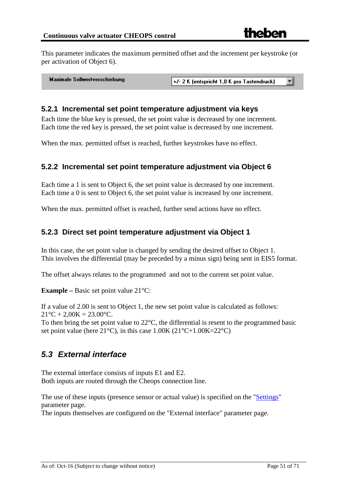This parameter indicates the maximum permitted offset and the increment per keystroke (or per activation of Object 6).

**Maximale Sollwertverschiebung** 

+/- 2 K (entspricht 1.0 K pro Tastendruck) न।

#### <span id="page-50-0"></span>**5.2.1 Incremental set point temperature adjustment via keys**

Each time the blue key is pressed, the set point value is decreased by one increment. Each time the red key is pressed, the set point value is decreased by one increment.

When the max. permitted offset is reached, further keystrokes have no effect.

#### <span id="page-50-1"></span>**5.2.2 Incremental set point temperature adjustment via Object 6**

Each time a 1 is sent to Object 6, the set point value is decreased by one increment. Each time a 0 is sent to Object 6, the set point value is increased by one increment.

When the max. permitted offset is reached, further send actions have no effect.

#### <span id="page-50-2"></span>**5.2.3 Direct set point temperature adjustment via Object 1**

In this case, the set point value is changed by sending the desired offset to Object 1. This involves the differential (may be preceded by a minus sign) being sent in EIS5 format.

The offset always relates to the programmed and not to the current set point value.

**Example –** Basic set point value 21°C:

If a value of 2.00 is sent to Object 1, the new set point value is calculated as follows:  $21^{\circ}$ C + 2,00K = 23.00 $^{\circ}$ C.

To then bring the set point value to 22°C, the differential is resent to the programmed basic set point value (here  $21^{\circ}$ C), in this case  $1.00K (21^{\circ}C+1.00K=22^{\circ}C)$ 

## <span id="page-50-3"></span>*5.3 External interface*

The external interface consists of inputs E1 and E2. Both inputs are routed through the Cheops connection line.

The use of these inputs (presence sensor or actual value) is specified on the ["Settings"](#page-16-1) parameter page.

The inputs themselves are configured on the "External interface" parameter page.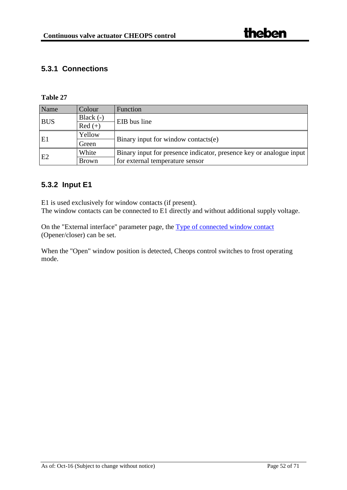## <span id="page-51-0"></span>**5.3.1 Connections**

#### **Table 27**

| Name           | Colour       | <b>Function</b>                                                     |  |
|----------------|--------------|---------------------------------------------------------------------|--|
| <b>BUS</b>     | Black $(-)$  | EIB bus line                                                        |  |
|                | $Red (+)$    |                                                                     |  |
| E1             | Yellow       |                                                                     |  |
|                | Green        | Binary input for window contacts(e)                                 |  |
| E <sub>2</sub> | White        | Binary input for presence indicator, presence key or analogue input |  |
|                | <b>Brown</b> | for external temperature sensor                                     |  |

## <span id="page-51-1"></span>**5.3.2 Input E1**

E1 is used exclusively for window contacts (if present). The window contacts can be connected to E1 directly and without additional supply voltage.

On the "External interface" parameter page, the [Type of connected window contact](#page-37-0) (Opener/closer) can be set.

When the "Open" window position is detected, Cheops control switches to frost operating mode.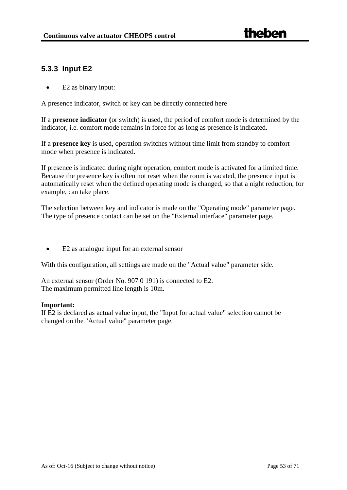## <span id="page-52-0"></span>**5.3.3 Input E2**

• E2 as binary input:

A presence indicator, switch or key can be directly connected here

If a **presence indicator (**or switch) is used, the period of comfort mode is determined by the indicator, i.e. comfort mode remains in force for as long as presence is indicated.

If a **presence key** is used, operation switches without time limit from standby to comfort mode when presence is indicated.

If presence is indicated during night operation, comfort mode is activated for a limited time. Because the presence key is often not reset when the room is vacated, the presence input is automatically reset when the defined operating mode is changed, so that a night reduction, for example, can take place.

The selection between key and indicator is made on the "Operating mode" parameter page. The type of presence contact can be set on the "External interface" parameter page.

• E2 as analogue input for an external sensor

With this configuration, all settings are made on the "Actual value" parameter side.

An external sensor (Order No. 907 0 191) is connected to E2. The maximum permitted line length is 10m.

#### **Important:**

If E2 is declared as actual value input, the "Input for actual value" selection cannot be changed on the "Actual value" parameter page.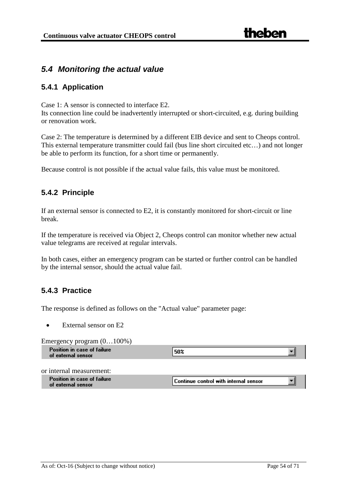## <span id="page-53-0"></span>*5.4 Monitoring the actual value*

#### <span id="page-53-1"></span>**5.4.1 Application**

Case 1: A sensor is connected to interface E2.

Its connection line could be inadvertently interrupted or short-circuited, e.g. during building or renovation work.

Case 2: The temperature is determined by a different EIB device and sent to Cheops control. This external temperature transmitter could fail (bus line short circuited etc…) and not longer be able to perform its function, for a short time or permanently.

Because control is not possible if the actual value fails, this value must be monitored.

#### <span id="page-53-2"></span>**5.4.2 Principle**

If an external sensor is connected to E2, it is constantly monitored for short-circuit or line break.

If the temperature is received via Object 2, Cheops control can monitor whether new actual value telegrams are received at regular intervals.

In both cases, either an emergency program can be started or further control can be handled by the internal sensor, should the actual value fail.

#### <span id="page-53-3"></span>**5.4.3 Practice**

The response is defined as follows on the "Actual value" parameter page:

External sensor on E2

Emergency program (0…100%)

| $\overline{\phantom{0}}$<br>--<br>╴               |     |  |
|---------------------------------------------------|-----|--|
| Position in case of failure<br>of external sensor | 502 |  |
|                                                   |     |  |

or internal measurement:

| Position in case of failure | $\ $ Continue control with internal sensor $\ $ |  |  |
|-----------------------------|-------------------------------------------------|--|--|
| of external sensor          |                                                 |  |  |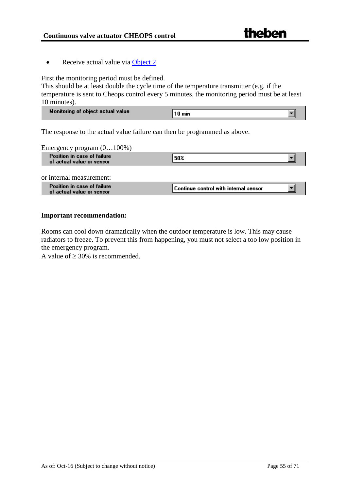• Receive actual value via [Object 2](#page-11-2)

First the monitoring period must be defined.

This should be at least double the cycle time of the temperature transmitter (e.g. if the temperature is sent to Cheops control every 5 minutes, the monitoring period must be at least 10 minutes).

| Monitoring of object actual value | 10 min |  |
|-----------------------------------|--------|--|

The response to the actual value failure can then be programmed as above.

Emergency program (0…100%)

| -<br>__<br>Position in case of failure<br>of actual value or sensor | 50% |
|---------------------------------------------------------------------|-----|
|                                                                     |     |

or internal measurement:

| Position in case of failure<br>of actual value or sensor | $\sf{I}$ Continue control with internal sensor |  |
|----------------------------------------------------------|------------------------------------------------|--|
|                                                          |                                                |  |
|                                                          |                                                |  |

#### **Important recommendation:**

Rooms can cool down dramatically when the outdoor temperature is low. This may cause radiators to freeze. To prevent this from happening, you must not select a too low position in the emergency program.

A value of  $\geq 30\%$  is recommended.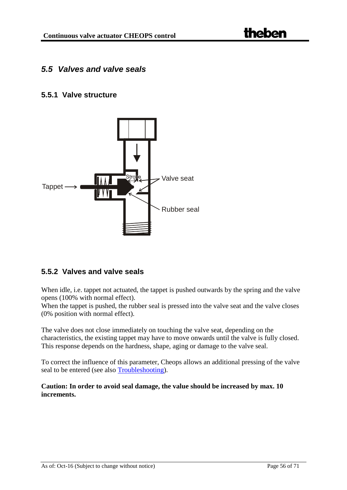## <span id="page-55-0"></span>*5.5 Valves and valve seals*

#### <span id="page-55-1"></span>**5.5.1 Valve structure**

![](_page_55_Figure_4.jpeg)

#### <span id="page-55-2"></span>**5.5.2 Valves and valve seals**

When idle, i.e. tappet not actuated, the tappet is pushed outwards by the spring and the valve opens (100% with normal effect).

When the tappet is pushed, the rubber seal is pressed into the valve seat and the valve closes (0% position with normal effect).

The valve does not close immediately on touching the valve seat, depending on the characteristics, the existing tappet may have to move onwards until the valve is fully closed. This response depends on the hardness, shape, aging or damage to the valve seal.

To correct the influence of this parameter, Cheops allows an additional pressing of the valve seal to be entered (see also [Troubleshooting\)](#page-62-0).

**Caution: In order to avoid seal damage, the value should be increased by max. 10 increments.**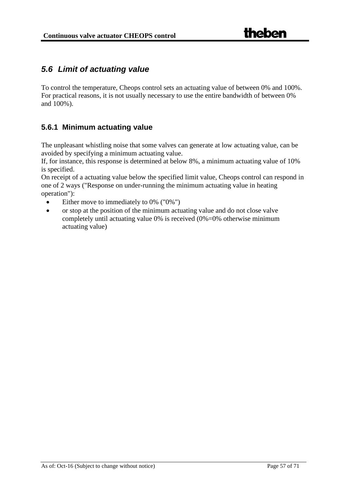## <span id="page-56-0"></span>*5.6 Limit of actuating value*

To control the temperature, Cheops control sets an actuating value of between 0% and 100%. For practical reasons, it is not usually necessary to use the entire bandwidth of between 0% and 100%).

## <span id="page-56-1"></span>**5.6.1 Minimum actuating value**

The unpleasant whistling noise that some valves can generate at low actuating value, can be avoided by specifying a minimum actuating value.

If, for instance, this response is determined at below 8%, a minimum actuating value of 10% is specified.

On receipt of a actuating value below the specified limit value, Cheops control can respond in one of 2 ways ("Response on under-running the minimum actuating value in heating operation"):

- Either move to immediately to 0% ("0%")
- or stop at the position of the minimum actuating value and do not close valve completely until actuating value 0% is received (0%=0% otherwise minimum actuating value)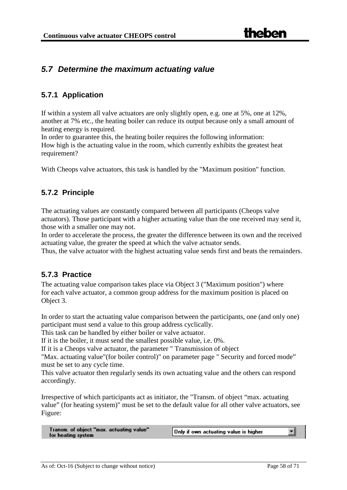## <span id="page-57-0"></span>*5.7 Determine the maximum actuating value*

### <span id="page-57-1"></span>**5.7.1 Application**

If within a system all valve actuators are only slightly open, e.g. one at 5%, one at 12%, another at 7% etc., the heating boiler can reduce its output because only a small amount of heating energy is required.

In order to guarantee this, the heating boiler requires the following information: How high is the actuating value in the room, which currently exhibits the greatest heat requirement?

With Cheops valve actuators, this task is handled by the "Maximum position" function.

#### <span id="page-57-2"></span>**5.7.2 Principle**

The actuating values are constantly compared between all participants (Cheops valve actuators). Those participant with a higher actuating value than the one received may send it, those with a smaller one may not.

In order to accelerate the process, the greater the difference between its own and the received actuating value, the greater the speed at which the valve actuator sends.

Thus, the valve actuator with the highest actuating value sends first and beats the remainders.

#### <span id="page-57-3"></span>**5.7.3 Practice**

The actuating value comparison takes place via Object 3 ("Maximum position") where for each valve actuator, a common group address for the maximum position is placed on Object 3.

In order to start the actuating value comparison between the participants, one (and only one) participant must send a value to this group address cyclically.

This task can be handled by either boiler or valve actuator.

If it is the boiler, it must send the smallest possible value, i.e. 0%.

If it is a Cheops valve actuator, the parameter " Transmission of object

"Max. actuating value"(for boiler control)" on parameter page " Security and forced mode" must be set to any cycle time.

This valve actuator then regularly sends its own actuating value and the others can respond accordingly.

Irrespective of which participants act as initiator, the "Transm. of object "max. actuating value" (for heating system)" must be set to the default value for all other valve actuators, see Figure:

Transm. of object "max. actuating value" for heating system

Only if own actuating value is higher

╺╽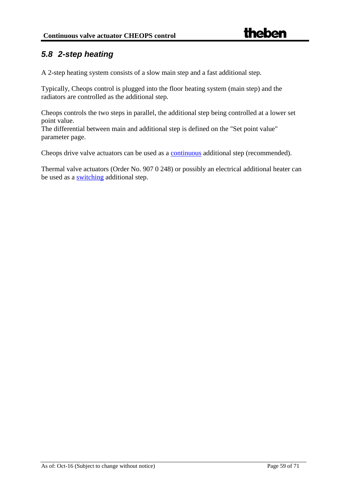## <span id="page-58-0"></span>*5.8 2-step heating*

A 2-step heating system consists of a slow main step and a fast additional step.

Typically, Cheops control is plugged into the floor heating system (main step) and the radiators are controlled as the additional step.

Cheops controls the two steps in parallel, the additional step being controlled at a lower set point value.

The differential between main and additional step is defined on the "Set point value" parameter page.

Cheops drive valve actuators can be used as a [continuous](#page-69-3) additional step (recommended).

Thermal valve actuators (Order No. 907 0 248) or possibly an electrical additional heater can be used as a [switching](#page-69-3) additional step.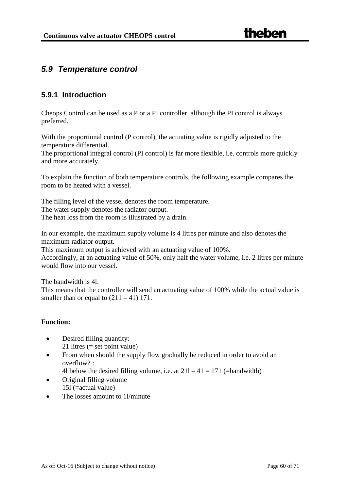## <span id="page-59-0"></span>*5.9 Temperature control*

#### <span id="page-59-1"></span>**5.9.1 Introduction**

Cheops Control can be used as a P or a PI controller, although the PI control is always preferred.

With the proportional control (P control), the actuating value is rigidly adjusted to the temperature differential.

The proportional integral control (PI control) is far more flexible, i.e. controls more quickly and more accurately.

To explain the function of both temperature controls, the following example compares the room to be heated with a vessel.

The filling level of the vessel denotes the room temperature. The water supply denotes the radiator output. The heat loss from the room is illustrated by a drain.

In our example, the maximum supply volume is 4 litres per minute and also denotes the maximum radiator output.

This maximum output is achieved with an actuating value of 100%.

Accordingly, at an actuating value of 50%, only half the water volume, i.e. 2 litres per minute would flow into our vessel.

The bandwidth is 4l.

This means that the controller will send an actuating value of 100% while the actual value is smaller than or equal to  $(211 – 41)$  171.

#### **Function:**

- Desired filling quantity: 21 litres (= set point value)
- From when should the supply flow gradually be reduced in order to avoid an  $overflow?$ 
	- 4l below the desired filling volume, i.e. at  $211 41 = 171$  (=bandwidth)
- Original filling volume 15l (=actual value)
- The losses amount to 11/minute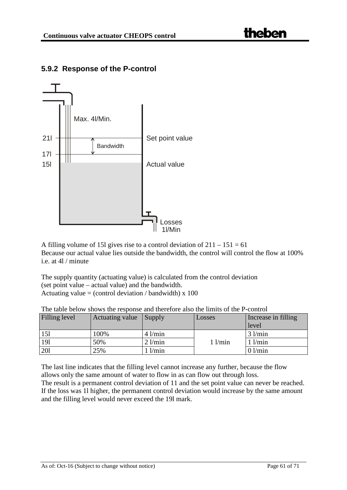![](_page_60_Figure_2.jpeg)

## <span id="page-60-0"></span>**5.9.2 Response of the P-control**

A filling volume of 15l gives rise to a control deviation of  $211 - 151 = 61$ Because our actual value lies outside the bandwidth, the control will control the flow at 100% i.e. at 4l / minute

The supply quantity (actuating value) is calculated from the control deviation (set point value – actual value) and the bandwidth. Actuating value = (control deviation / bandwidth)  $x$  100

| Filling level | Actuating value | $\sum_{ }$  | Losses      | Increase in filling |
|---------------|-----------------|-------------|-------------|---------------------|
|               |                 |             |             | level               |
| 151           | 100%            | $4$ l/min   |             | $3$ $1/min$         |
| 191           | 50%             | $2$ l/min   | $1$ $1/min$ | $1$ l/min           |
| 201           | 25%             | $1$ $l/min$ |             | $0$ l/min           |

The table below shows the response and therefore also the limits of the P-control

The last line indicates that the filling level cannot increase any further, because the flow allows only the same amount of water to flow in as can flow out through loss. The result is a permanent control deviation of 11 and the set point value can never be reached.

If the loss was 1l higher, the permanent control deviation would increase by the same amount and the filling level would never exceed the 19l mark.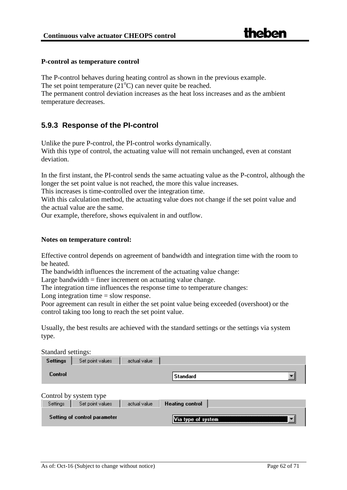#### **P-control as temperature control**

The P-control behaves during heating control as shown in the previous example.

The set point temperature  $(21^{\circ}C)$  can never quite be reached.

The permanent control deviation increases as the heat loss increases and as the ambient temperature decreases.

#### <span id="page-61-0"></span>**5.9.3 Response of the PI-control**

Unlike the pure P-control, the PI-control works dynamically.

With this type of control, the actuating value will not remain unchanged, even at constant deviation.

In the first instant, the PI-control sends the same actuating value as the P-control, although the longer the set point value is not reached, the more this value increases.

This increases is time-controlled over the integration time.

With this calculation method, the actuating value does not change if the set point value and the actual value are the same.

Our example, therefore, shows equivalent in and outflow.

#### **Notes on temperature control:**

Effective control depends on agreement of bandwidth and integration time with the room to be heated.

The bandwidth influences the increment of the actuating value change:

Large bandwidth  $=$  finer increment on actuating value change.

The integration time influences the response time to temperature changes:

Long integration time  $=$  slow response.

Poor agreement can result in either the set point value being exceeded (overshoot) or the control taking too long to reach the set point value.

Usually, the best results are achieved with the standard settings or the settings via system type.

Standard settings:

| Settings       | Set point values       | actual value |          |  |
|----------------|------------------------|--------------|----------|--|
| <b>Control</b> |                        |              | Standard |  |
|                | Control by system type |              |          |  |

| Settings | Set point values             | actual value. | Heating control |  |
|----------|------------------------------|---------------|-----------------|--|
|          | Setting of control parameter |               | type of system  |  |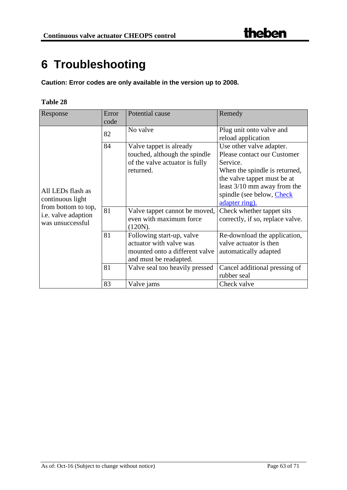## <span id="page-62-0"></span>**6 Troubleshooting**

**Caution: Error codes are only available in the version up to 2008.**

| Response                                                       | Error<br>code | Potential cause                                                                                                  | Remedy                                                                                                                                                             |
|----------------------------------------------------------------|---------------|------------------------------------------------------------------------------------------------------------------|--------------------------------------------------------------------------------------------------------------------------------------------------------------------|
|                                                                | 82            | No valve                                                                                                         | Plug unit onto valve and<br>reload application                                                                                                                     |
| All LEDs flash as                                              | 84            | Valve tappet is already<br>touched, although the spindle<br>of the valve actuator is fully<br>returned.          | Use other valve adapter.<br>Please contact our Customer<br>Service.<br>When the spindle is returned,<br>the valve tappet must be at<br>least 3/10 mm away from the |
| continuous light                                               |               |                                                                                                                  | spindle (see below, Check<br>adapter ring).                                                                                                                        |
| from bottom to top,<br>i.e. valve adaption<br>was unsuccessful | 81            | Valve tappet cannot be moved,<br>even with maximum force<br>(120N).                                              | Check whether tappet sits<br>correctly, if so, replace valve.                                                                                                      |
|                                                                | 81            | Following start-up, valve<br>actuator with valve was<br>mounted onto a different valve<br>and must be readapted. | Re-download the application,<br>valve actuator is then<br>automatically adapted                                                                                    |
|                                                                | 81            | Valve seal too heavily pressed                                                                                   | Cancel additional pressing of<br>rubber seal                                                                                                                       |
|                                                                | 83            | Valve jams                                                                                                       | Check valve                                                                                                                                                        |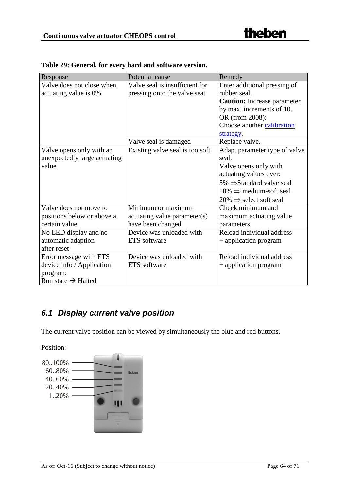| Response                       | Potential cause                 | Remedy                                |
|--------------------------------|---------------------------------|---------------------------------------|
| Valve does not close when      | Valve seal is insufficient for  | Enter additional pressing of          |
| actuating value is 0%          | pressing onto the valve seat    | rubber seal.                          |
|                                |                                 | <b>Caution:</b> Increase parameter    |
|                                |                                 | by max. increments of 10.             |
|                                |                                 | OR (from 2008):                       |
|                                |                                 | Choose another calibration            |
|                                |                                 | strategy.                             |
|                                | Valve seal is damaged           | Replace valve.                        |
| Valve opens only with an       | Existing valve seal is too soft | Adapt parameter type of valve         |
| unexpectedly large actuating   |                                 | seal.                                 |
| value                          |                                 | Valve opens only with                 |
|                                |                                 | actuating values over:                |
|                                |                                 | $5\% \Rightarrow$ Standard valve seal |
|                                |                                 | $10\% \Rightarrow$ medium-soft seal   |
|                                |                                 | $20\% \Rightarrow$ select soft seal   |
| Valve does not move to         | Minimum or maximum              | Check minimum and                     |
| positions below or above a     | actuating value parameter(s)    | maximum actuating value               |
| certain value                  | have been changed               | parameters                            |
| No LED display and no          | Device was unloaded with        | Reload individual address             |
| automatic adaption             | ETS software                    | + application program                 |
| after reset                    |                                 |                                       |
| Error message with ETS         | Device was unloaded with        | Reload individual address             |
| device info / Application      | ETS software                    | + application program                 |
| program:                       |                                 |                                       |
| Run state $\rightarrow$ Halted |                                 |                                       |

|  |  |  |  |  | Table 29: General, for every hard and software version. |
|--|--|--|--|--|---------------------------------------------------------|
|--|--|--|--|--|---------------------------------------------------------|

## <span id="page-63-0"></span>*6.1 Display current valve position*

The current valve position can be viewed by simultaneously the blue and red buttons.

Position:

![](_page_63_Figure_7.jpeg)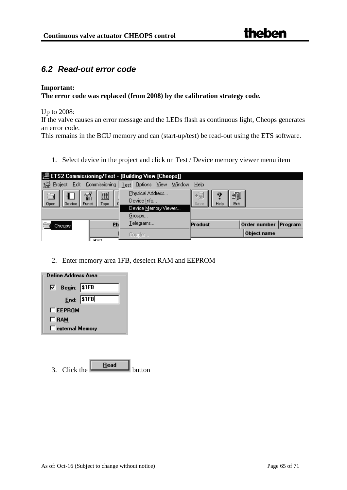## <span id="page-64-0"></span>*6.2 Read-out error code*

#### **Important:**

#### **The error code was replaced (from 2008) by the calibration strategy code.**

Up to 2008:

If the valve causes an error message and the LEDs flash as continuous light, Cheops generates an error code.

This remains in the BCU memory and can (start-up/test) be read-out using the ETS software.

1. Select device in the project and click on Test / Device memory viewer menu item

| 是ETS2 Commissioning/Test - [Building View [Cheops]]                                                               |                          |                                             |                      |  |  |  |
|-------------------------------------------------------------------------------------------------------------------|--------------------------|---------------------------------------------|----------------------|--|--|--|
| 2 Project Edit Commissioning                                                                                      | Test Options View Window | Help                                        |                      |  |  |  |
| Physical Address<br>匪<br>Device Info<br>Open<br><b>Device</b><br>Funct<br>Topo.<br>Device Memory Viewer<br>Groups |                          | 埛<br>檲<br>D.<br><b>Exit</b><br>Save<br>Help |                      |  |  |  |
|                                                                                                                   | Telegrams                |                                             |                      |  |  |  |
| Ph<br>Cheops                                                                                                      |                          | Product                                     | Order number Program |  |  |  |
|                                                                                                                   | Coupler                  |                                             | Object name          |  |  |  |

2. Enter memory area 1FB, deselect RAM and EEPROM

![](_page_64_Figure_11.jpeg)

| Click the | button |
|-----------|--------|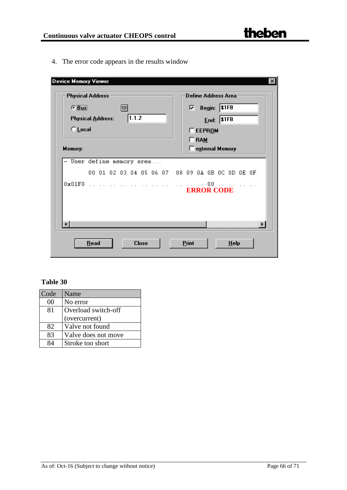4. The error code appears in the results window

| $G$ $Bus$<br>$\nabla$ Begin: \$1FB<br>I∞I<br>Physical Address: 1.1.2<br>Ent: 11FB<br>$\bigcirc$ Local<br><b>TEEPROM</b><br>$\Box$ RAM<br>E external Memory<br>Memory:<br>- User define memory area<br>00 01 02 03 04 05 06 07 08 09 0A 0B 0C 0D 0E 0F<br>$0 \times 01$ FO $\ldots$<br>the company of the company of the company of the company of the company of the company of the company of the company of the company of the company of the company of the company of the company of the company of the company<br><b>ERROR CODE</b> |  | Define Address Area |
|------------------------------------------------------------------------------------------------------------------------------------------------------------------------------------------------------------------------------------------------------------------------------------------------------------------------------------------------------------------------------------------------------------------------------------------------------------------------------------------------------------------------------------------|--|---------------------|
|                                                                                                                                                                                                                                                                                                                                                                                                                                                                                                                                          |  |                     |
|                                                                                                                                                                                                                                                                                                                                                                                                                                                                                                                                          |  |                     |
|                                                                                                                                                                                                                                                                                                                                                                                                                                                                                                                                          |  |                     |
|                                                                                                                                                                                                                                                                                                                                                                                                                                                                                                                                          |  |                     |
|                                                                                                                                                                                                                                                                                                                                                                                                                                                                                                                                          |  |                     |
|                                                                                                                                                                                                                                                                                                                                                                                                                                                                                                                                          |  |                     |
|                                                                                                                                                                                                                                                                                                                                                                                                                                                                                                                                          |  |                     |
|                                                                                                                                                                                                                                                                                                                                                                                                                                                                                                                                          |  |                     |
|                                                                                                                                                                                                                                                                                                                                                                                                                                                                                                                                          |  |                     |
|                                                                                                                                                                                                                                                                                                                                                                                                                                                                                                                                          |  |                     |
|                                                                                                                                                                                                                                                                                                                                                                                                                                                                                                                                          |  |                     |
|                                                                                                                                                                                                                                                                                                                                                                                                                                                                                                                                          |  |                     |

| Code | Name                |
|------|---------------------|
| 00   | No error            |
| 81   | Overload switch-off |
|      | (overcurrent)       |
| 82   | Valve not found     |
| 83   | Valve does not move |
|      | Stroke too short    |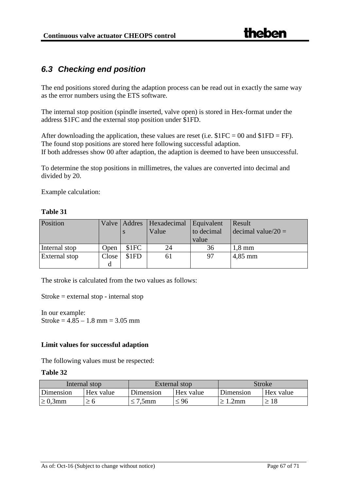## <span id="page-66-0"></span>*6.3 Checking end position*

The end positions stored during the adaption process can be read out in exactly the same way as the error numbers using the ETS software.

The internal stop position (spindle inserted, valve open) is stored in Hex-format under the address \$1FC and the external stop position under \$1FD.

After downloading the application, these values are reset (i.e.  $\$1FC = 00$  and  $\$1FD = FF$ ). The found stop positions are stored here following successful adaption. If both addresses show 00 after adaption, the adaption is deemed to have been unsuccessful.

To determine the stop positions in millimetres, the values are converted into decimal and divided by 20.

Example calculation:

#### **Table 31**

| Position      |       | Valve   Addres | Hexadecimal<br>Value | Equivalent<br>to decimal | Result<br>decimal value/20 = |
|---------------|-------|----------------|----------------------|--------------------------|------------------------------|
|               |       |                |                      | value                    |                              |
| Internal stop | Open  | \$1FC          | 24                   | 36                       | $1,8 \text{ mm}$             |
| External stop | Close | \$1FD          | 61                   | 97                       | $4,85$ mm                    |
|               | d     |                |                      |                          |                              |

The stroke is calculated from the two values as follows:

Stroke = external stop - internal stop

In our example: Stroke =  $4.85 - 1.8$  mm =  $3.05$  mm

#### **Limit values for successful adaption**

The following values must be respected:

| Internal stop |           |           | External stop | Stroke    |           |
|---------------|-----------|-----------|---------------|-----------|-----------|
| Dimension     | Hex value | Dimension | Hex value     | Dimension | Hex value |
| $\geq 0.3$ mm | ≥ ხ       | '.5mm     | 196           | 2mm       | 18        |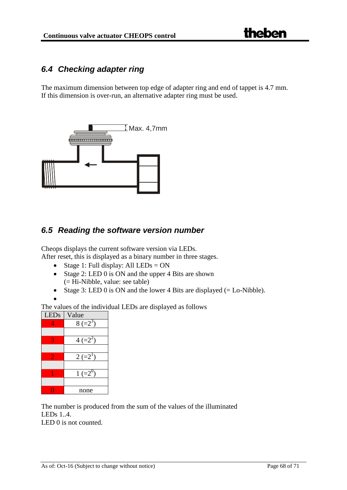## <span id="page-67-0"></span>*6.4 Checking adapter ring*

The maximum dimension between top edge of adapter ring and end of tappet is 4.7 mm. If this dimension is over-run, an alternative adapter ring must be used.

![](_page_67_Figure_4.jpeg)

## <span id="page-67-1"></span>*6.5 Reading the software version number*

Cheops displays the current software version via LEDs.

After reset, this is displayed as a binary number in three stages.

- Stage 1: Full display: All  $LEDs = ON$
- Stage 2: LED 0 is ON and the upper 4 Bits are shown (= Hi-Nibble, value: see table)
- Stage 3: LED 0 is ON and the lower 4 Bits are displayed  $(=$  Lo-Nibble).
- •

The values of the individual LEDs are displayed as follows

![](_page_67_Figure_13.jpeg)

The number is produced from the sum of the values of the illuminated LEDs 1..4. LED 0 is not counted.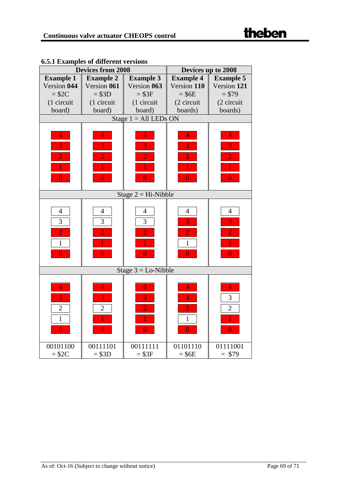|                  | <b>Devices from 2008</b> |                         | Devices up to 2008 |                  |  |
|------------------|--------------------------|-------------------------|--------------------|------------------|--|
| <b>Example 1</b> | <b>Example 2</b>         | <b>Example 3</b>        | <b>Example 4</b>   | <b>Example 5</b> |  |
| Version 044      | Version 061              | Version 063             | Version 110        | Version 121      |  |
| $= $2C$          | $= $3D$                  | $= $3F$                 | $=$ \$6E           | $= $79$          |  |
| (1 circuit       | (1 circuit               | (1 circuit              | (2 circuit         | (2 circuit       |  |
| board)           | board)                   | board)                  | boards)            | boards)          |  |
|                  |                          | Stage $1 = All LEDs ON$ |                    |                  |  |
|                  |                          |                         |                    |                  |  |
| $\overline{4}$   | $\overline{4}$           | 4                       | 4                  | $\overline{4}$   |  |
| 3                | 3                        | 3                       | 3                  | 3                |  |
| $\overline{2}$   | $\overline{2}$           | $\overline{2}$          | $\overline{2}$     | $\overline{2}$   |  |
|                  |                          |                         |                    |                  |  |
| 0                | $\overline{0}$           | $\overline{0}$          | $\overline{0}$     | $\overline{0}$   |  |
|                  |                          |                         |                    |                  |  |
|                  |                          | Stage $2 = Hi$ -Nibble  |                    |                  |  |
|                  |                          |                         |                    |                  |  |
| $\overline{4}$   | $\overline{4}$           | $\overline{4}$          | $\overline{4}$     | $\overline{4}$   |  |
| 3                | 3                        | 3                       | $\overline{3}$     | 3                |  |
| $\overline{2}$   | $\overline{2}$           | $\overline{2}$          | $\overline{2}$     | $\overline{2}$   |  |
| $\mathbf{1}$     | 1                        | 1                       | $\mathbf{1}$       |                  |  |
| $\overline{0}$   | $\overline{0}$           | $\overline{0}$          | $\overline{0}$     | $\overline{0}$   |  |
|                  |                          |                         |                    |                  |  |
|                  |                          | Stage $3 =$ Lo-Nibble   |                    |                  |  |
|                  |                          |                         |                    |                  |  |
| $\overline{4}$   | $\overline{4}$           | $\overline{4}$          | 4                  | $\overline{4}$   |  |
| 3                | 3                        | 3                       | 3                  | 3                |  |
| $\overline{2}$   | $\overline{2}$           | $\overline{2}$          | $\overline{2}$     | $\overline{2}$   |  |
| $\mathbf{1}$     |                          |                         | $\mathbf{1}$       |                  |  |
| $\overline{0}$   | $\overline{0}$           | $\overline{0}$          | $\overline{0}$     | $\overline{0}$   |  |
|                  |                          |                         |                    |                  |  |
| 00101100         | 00111101                 | 00111111                | 01101110           | 01111001         |  |
| $= $2C$          | $= $3D$                  | $= $3F$                 | $=$ \$6E           | $= $79$          |  |

## **6.5.1 Examples of different versions**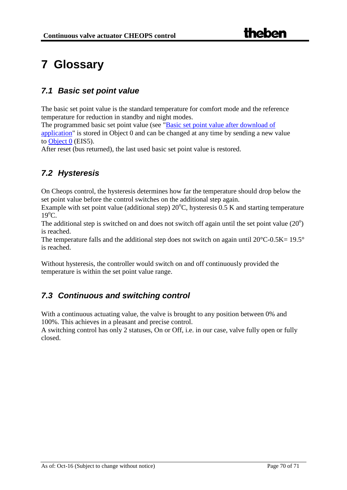# <span id="page-69-0"></span>**7 Glossary**

## <span id="page-69-1"></span>*7.1 Basic set point value*

The basic set point value is the standard temperature for comfort mode and the reference temperature for reduction in standby and night modes.

The programmed basic set point value (see ["Basic set point value after download of](#page-18-0)  [application"](#page-18-0) is stored in Object 0 and can be changed at any time by sending a new value to [Object 0](#page-11-3) (EIS5).

After reset (bus returned), the last used basic set point value is restored.

## <span id="page-69-2"></span>*7.2 Hysteresis*

On Cheops control, the hysteresis determines how far the temperature should drop below the set point value before the control switches on the additional step again.

Example with set point value (additional step)  $20^{\circ}$ C, hysteresis 0.5 K and starting temperature 19<sup>o</sup>C.

The additional step is switched on and does not switch off again until the set point value  $(20^{\circ})$ is reached.

The temperature falls and the additional step does not switch on again until  $20^{\circ}$ C-0.5K= 19.5° is reached.

Without hysteresis, the controller would switch on and off continuously provided the temperature is within the set point value range.

## <span id="page-69-3"></span>*7.3 Continuous and switching control*

With a continuous actuating value, the valve is brought to any position between 0% and 100%. This achieves in a pleasant and precise control.

A switching control has only 2 statuses, On or Off, i.e. in our case, valve fully open or fully closed.